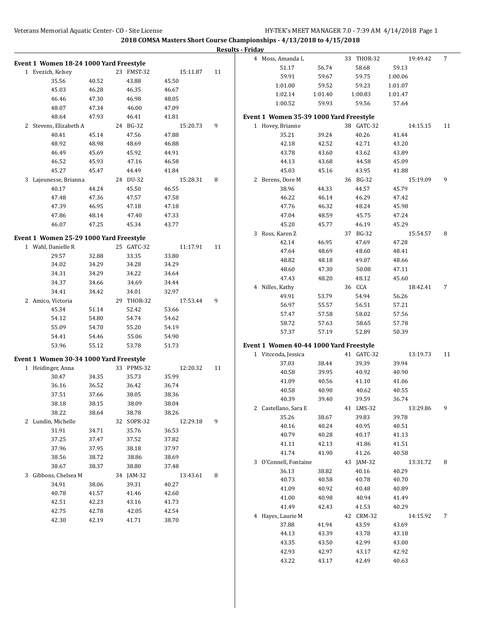|                                         |                |                   |                   |    | <b>Results - Friday</b> |                                         |                |                   |                   |    |
|-----------------------------------------|----------------|-------------------|-------------------|----|-------------------------|-----------------------------------------|----------------|-------------------|-------------------|----|
| Event 1 Women 18-24 1000 Yard Freestyle |                |                   |                   |    |                         | 4 Moss, Amanda L                        |                | 33 THOR-32        | 19:49.42          | 7  |
| 1 Evezich, Kelsey                       |                | 23 FMST-32        | 15:11.87          | 11 |                         | 51.17                                   | 56.74          | 58.68             | 59.13             |    |
| 35.56                                   | 40.52          | 43.88             | 45.50             |    |                         | 59.91                                   | 59.67          | 59.75             | 1:00.06           |    |
| 45.03                                   | 46.28          | 46.35             | 46.67             |    |                         | 1:01.00                                 | 59.52          | 59.23             | 1:01.07           |    |
| 46.46                                   | 47.30          | 46.98             | 48.05             |    |                         | 1:02.14                                 | 1:01.40        | 1:00.83           | 1:01.47           |    |
| 48.07                                   | 47.34          | 46.00             | 47.09             |    |                         | 1:00.52                                 | 59.93          | 59.56             | 57.64             |    |
| 48.64                                   | 47.93          | 46.41             | 41.81             |    |                         | Event 1 Women 35-39 1000 Yard Freestyle |                |                   |                   |    |
| 2 Stevens, Elizabeth A                  |                | 24 BG-32          | 15:20.73          | 9  |                         | 1 Hovey, Brianne                        |                | 38 GATC-32        | 14:15.15          | 11 |
| 40.41                                   | 45.14          | 47.56             | 47.88             |    |                         | 35.21                                   | 39.24          | 40.26             | 41.44             |    |
| 48.92                                   | 48.98          | 48.69             | 46.88             |    |                         | 42.18                                   | 42.52          | 42.71             | 43.20             |    |
| 46.49                                   | 45.69          | 45.92             | 44.91             |    |                         | 43.78                                   | 43.60          | 43.62             | 43.89             |    |
| 46.52                                   | 45.93          | 47.16             | 46.58             |    |                         | 44.13                                   | 43.68          | 44.58             | 45.09             |    |
|                                         |                |                   |                   |    |                         |                                         |                |                   |                   |    |
| 45.27                                   | 45.47          | 44.49<br>24 DU-32 | 41.84<br>15:28.31 |    |                         | 45.03<br>2 Berens, Dore M               | 45.16          | 43.95<br>36 BG-32 | 41.88<br>15:19.09 | 9  |
| 3 Lajeunesse, Brianna                   |                |                   |                   | 8  |                         |                                         |                |                   |                   |    |
| 40.17                                   | 44.24<br>47.36 | 45.50             | 46.55<br>47.58    |    |                         | 38.96                                   | 44.33          | 44.57<br>46.29    | 45.79             |    |
| 47.48<br>47.39                          | 46.95          | 47.57             |                   |    |                         | 46.22<br>47.76                          | 46.14          |                   | 47.42             |    |
| 47.86                                   |                | 47.18<br>47.40    | 47.18             |    |                         | 47.04                                   | 46.32          | 48.24             | 45.98             |    |
| 46.07                                   | 48.14<br>47.25 | 45.34             | 47.33<br>43.77    |    |                         | 45.20                                   | 48.59<br>45.77 | 45.75<br>46.19    | 47.24<br>45.29    |    |
|                                         |                |                   |                   |    |                         | 3 Ross, Karen Z                         |                | 37 BG-32          |                   |    |
| Event 1 Women 25-29 1000 Yard Freestyle |                |                   |                   |    |                         |                                         |                |                   | 15:54.57          | 8  |
| 1 Wahl, Danielle R                      |                | 25 GATC-32        | 11:17.91          | 11 |                         | 42.14<br>47.64                          | 46.95<br>48.69 | 47.69<br>48.60    | 47.28<br>48.41    |    |
| 29.57                                   | 32.88          | 33.35             | 33.80             |    |                         | 48.82                                   |                | 49.07             | 48.66             |    |
| 34.02                                   | 34.29          | 34.28             | 34.29             |    |                         | 48.60                                   | 48.18<br>47.30 | 50.08             | 47.11             |    |
| 34.31                                   | 34.29          | 34.22             | 34.64             |    |                         | 47.43                                   | 48.20          | 48.12             | 45.60             |    |
| 34.37                                   | 34.66          | 34.69             | 34.44             |    |                         |                                         |                | 36 CCA            | 18:42.41          |    |
| 34.41                                   | 34.42          | 34.01             | 32.97             |    |                         | 4 Nilles, Kathy<br>49.91                | 53.79          | 54.94             | 56.26             | 7  |
| 2 Amico, Victoria                       |                | 29 THOR-32        | 17:53.44          | 9  |                         | 56.97                                   |                |                   | 57.21             |    |
| 45.34                                   | 51.14          | 52.42             | 53.66             |    |                         | 57.47                                   | 55.57<br>57.58 | 56.51<br>58.02    | 57.56             |    |
| 54.12                                   | 54.80          | 54.74             | 54.62             |    |                         | 58.72                                   |                | 58.65             | 57.78             |    |
| 55.09                                   | 54.70          | 55.20             | 54.19             |    |                         |                                         | 57.63          |                   |                   |    |
| 54.41                                   | 54.46          | 55.06             | 54.90             |    |                         | 57.37                                   | 57.19          | 52.89             | 50.39             |    |
| 53.96                                   | 55.12          | 53.78             | 51.73             |    |                         | Event 1 Women 40-44 1000 Yard Freestyle |                |                   |                   |    |
| Event 1 Women 30-34 1000 Yard Freestyle |                |                   |                   |    |                         | 1 Vitcenda, Jessica                     |                | 41 GATC-32        | 13:19.73          | 11 |
| 1 Heidinger, Anna                       |                | 33 PPMS-32        | 12:20.32          | 11 |                         | 37.03                                   | 38.44          | 39.39             | 39.94             |    |
| 30.47                                   | 34.35          | 35.73             | 35.99             |    |                         | 40.58                                   | 39.95          | 40.92             | 40.90             |    |
| 36.16                                   | 36.52          | 36.42             | 36.74             |    |                         | 41.09                                   | 40.56          | 41.10             | 41.06             |    |
| 37.51                                   | 37.66          | 38.05             | 38.36             |    |                         | 40.58                                   | 40.90          | 40.62             | 40.55             |    |
| 38.18                                   | 38.15          | 38.09             | 38.04             |    |                         | 40.39                                   | 39.40          | 39.59             | 36.74             |    |
| 38.22                                   | 38.64          | 38.78             | 38.26             |    |                         | 2 Castellano, Sara E                    |                | 41 LMS-32         | 13:29.86          | 9  |
| 2 Lundin, Michelle                      |                | 32 SOPR-32        | 12:29.18          | 9  |                         | 35.26                                   | 38.67          | 39.83             | 39.78             |    |
| 31.91                                   | 34.71          | 35.76             | 36.53             |    |                         | 40.16                                   | 40.24          | 40.95             | 40.51             |    |
| 37.25                                   | 37.47          | 37.52             | 37.82             |    |                         | 40.79                                   | 40.28          | 40.17             | 41.13             |    |
| 37.96                                   | 37.95          | 38.18             | 37.97             |    |                         | 41.11                                   | 42.13          | 41.86             | 41.51             |    |
| 38.56                                   | 38.72          | 38.86             | 38.69             |    |                         | 41.74                                   | 41.90          | 41.26             | 40.58             |    |
| 38.67                                   | 38.37          | 38.80             | 37.48             |    |                         | 3 O'Connell, Fontaine                   |                | 43 JAM-32         | 13:31.72          | 8  |
| 3 Gibbons, Chelsea M                    |                | 34 JAM-32         | 13:43.61          | 8  |                         | 36.13                                   | 38.82          | 40.16             | 40.29             |    |
| 34.91                                   | 38.06          | 39.31             | 40.27             |    |                         | 40.73                                   | 40.58          | 40.78             | 40.70             |    |
| 40.78                                   | 41.57          | 41.46             | 42.60             |    |                         | 41.09                                   | 40.92          | 40.48             | 40.89             |    |
| 42.51                                   | 42.23          | 43.16             | 41.73             |    |                         | 41.00                                   | 40.98          | 40.94             | 41.49             |    |
| 42.75                                   | 42.78          | 42.05             | 42.54             |    |                         | 41.49                                   | 42.43          | 41.53             | 40.29             |    |
| 42.30                                   | 42.19          | 41.71             | 38.70             |    |                         | 4 Hayes, Laurie M                       |                | 42 CRM-32         | 14:15.92          | 7  |
|                                         |                |                   |                   |    |                         | 37.88                                   | 41.94          | 43.59             | 43.69             |    |
|                                         |                |                   |                   |    |                         | 44.13                                   | 43.39          | 43.78             | 43.18             |    |
|                                         |                |                   |                   |    |                         | 43.35                                   | 43.50          | 42.99             | 43.00             |    |
|                                         |                |                   |                   |    |                         | 42.93                                   | 42.97          | 43.17             | 42.92             |    |
|                                         |                |                   |                   |    |                         | 43.22                                   | 43.17          | 42.49             | 40.63             |    |
|                                         |                |                   |                   |    |                         |                                         |                |                   |                   |    |
|                                         |                |                   |                   |    |                         |                                         |                |                   |                   |    |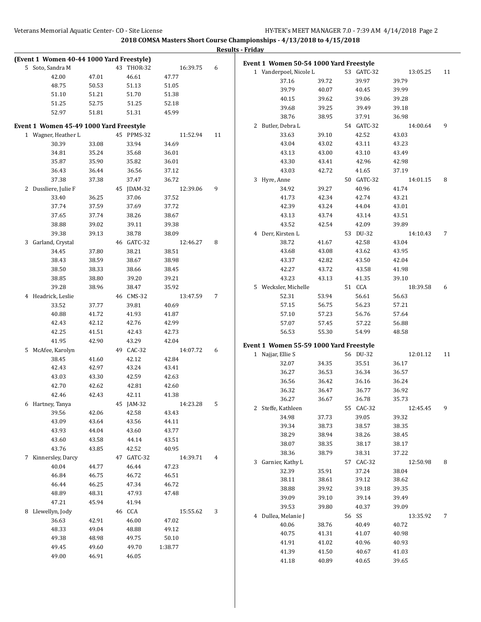|                                           |       |            |          |    | <b>Results - Friday</b>                 |       |            |          |    |
|-------------------------------------------|-------|------------|----------|----|-----------------------------------------|-------|------------|----------|----|
| (Event 1 Women 40-44 1000 Yard Freestyle) |       |            |          |    | Event 1 Women 50-54 1000 Yard Freestyle |       |            |          |    |
| 5 Soto, Sandra M                          |       | 43 THOR-32 | 16:39.75 | 6  | 1 Vanderpoel, Nicole L                  |       | 53 GATC-32 | 13:05.25 | 11 |
| 42.00                                     | 47.01 | 46.61      | 47.77    |    | 37.16                                   | 39.72 | 39.97      | 39.79    |    |
| 48.75                                     | 50.53 | 51.13      | 51.05    |    | 39.79                                   | 40.07 | 40.45      | 39.99    |    |
| 51.10                                     | 51.21 | 51.70      | 51.38    |    | 40.15                                   | 39.62 | 39.06      | 39.28    |    |
| 51.25                                     | 52.75 | 51.25      | 52.18    |    | 39.68                                   | 39.25 | 39.49      | 39.18    |    |
| 52.97                                     | 51.81 | 51.31      | 45.99    |    | 38.76                                   | 38.95 | 37.91      | 36.98    |    |
| Event 1 Women 45-49 1000 Yard Freestyle   |       |            |          |    | 2 Butler, Debra L                       |       | 54 GATC-32 | 14:00.64 | 9  |
| 1 Wagner, Heather L                       |       | 45 PPMS-32 | 11:52.94 | 11 | 33.63                                   | 39.10 | 42.52      | 43.03    |    |
| 30.39                                     | 33.08 | 33.94      | 34.69    |    | 43.04                                   | 43.02 | 43.11      | 43.23    |    |
| 34.81                                     | 35.24 | 35.68      | 36.01    |    | 43.13                                   | 43.00 | 43.10      | 43.49    |    |
| 35.87                                     | 35.90 | 35.82      | 36.01    |    | 43.30                                   | 43.41 | 42.96      | 42.98    |    |
| 36.43                                     | 36.44 | 36.56      | 37.12    |    | 43.03                                   | 42.72 | 41.65      | 37.19    |    |
| 37.38                                     | 37.38 | 37.47      | 36.72    |    | 3 Hyre, Anne                            |       | 50 GATC-32 | 14:01.15 | 8  |
| 2 Dussliere, Julie F                      |       | 45 JDAM-32 | 12:39.06 | 9  | 34.92                                   | 39.27 | 40.96      | 41.74    |    |
| 33.40                                     | 36.25 | 37.06      | 37.52    |    | 41.73                                   | 42.34 | 42.74      | 43.21    |    |
| 37.74                                     | 37.59 | 37.69      | 37.72    |    | 42.39                                   | 43.24 | 44.04      | 43.01    |    |
| 37.65                                     | 37.74 | 38.26      | 38.67    |    | 43.13                                   | 43.74 | 43.14      | 43.51    |    |
| 38.88                                     | 39.02 | 39.11      | 39.38    |    | 43.52                                   | 42.54 | 42.09      | 39.89    |    |
| 39.38                                     | 39.13 | 38.78      | 38.09    |    | 4 Derr, Kirsten L                       |       | 53 DU-32   | 14:10.43 | 7  |
| 3 Garland, Crystal                        |       | 46 GATC-32 | 12:46.27 | 8  | 38.72                                   | 41.67 | 42.58      | 43.04    |    |
| 34.45                                     | 37.80 | 38.21      | 38.51    |    | 43.68                                   | 43.08 | 43.62      | 43.95    |    |
| 38.43                                     | 38.59 | 38.67      | 38.98    |    | 43.37                                   | 42.82 | 43.50      | 42.04    |    |
| 38.50                                     | 38.33 | 38.66      | 38.45    |    | 42.27                                   | 43.72 | 43.58      | 41.98    |    |
| 38.85                                     | 38.80 | 39.20      | 39.21    |    | 43.23                                   | 43.13 | 41.35      | 39.10    |    |
| 39.28                                     | 38.96 | 38.47      | 35.92    |    | 5 Wecksler, Michelle                    |       | 51 CCA     | 18:39.58 | 6  |
| 4 Headrick, Leslie                        |       | 46 CMS-32  | 13:47.59 | 7  | 52.31                                   | 53.94 | 56.61      | 56.63    |    |
| 33.52                                     | 37.77 | 39.81      | 40.69    |    | 57.15                                   | 56.75 | 56.23      | 57.21    |    |
| 40.88                                     | 41.72 | 41.93      | 41.87    |    | 57.10                                   | 57.23 | 56.76      | 57.64    |    |
| 42.43                                     | 42.12 | 42.76      | 42.99    |    | 57.07                                   | 57.45 | 57.22      | 56.88    |    |
| 42.25                                     | 41.51 | 42.43      | 42.73    |    | 56.53                                   | 55.30 | 54.99      | 48.58    |    |
| 41.95                                     | 42.90 | 43.29      | 42.04    |    | Event 1 Women 55-59 1000 Yard Freestyle |       |            |          |    |
| 5 McAfee, Karolyn                         |       | 49 CAC-32  | 14:07.72 | 6  | 1 Najjar, Ellie S                       |       | 56 DU-32   | 12:01.12 | 11 |
| 38.45                                     | 41.60 | 42.12      | 42.84    |    | 32.07                                   | 34.35 | 35.51      | 36.17    |    |
| 42.43                                     | 42.97 | 43.24      | 43.41    |    | 36.27                                   | 36.53 | 36.34      | 36.57    |    |
| 43.03                                     | 43.30 | 42.59      | 42.63    |    | 36.56                                   | 36.42 | 36.16      | 36.24    |    |
| 42.70                                     | 42.62 | 42.81      | 42.60    |    | 36.32                                   | 36.47 | 36.77      | 36.92    |    |
| 42.46                                     | 42.43 | 42.11      | 41.38    |    | 36.27                                   | 36.67 | 36.78      | 35.73    |    |
| 6 Hartney, Tanya                          |       | 45 JAM-32  | 14:23.28 | 5  | 2 Steffe, Kathleen                      |       | 55 CAC-32  | 12:45.45 | 9  |
| 39.56                                     | 42.06 | 42.58      | 43.43    |    | 34.98                                   | 37.73 | 39.05      | 39.32    |    |
| 43.09                                     | 43.64 | 43.56      | 44.11    |    | 39.34                                   | 38.73 | 38.57      | 38.35    |    |
| 43.93                                     | 44.04 | 43.60      | 43.77    |    | 38.29                                   | 38.94 | 38.26      | 38.45    |    |
| 43.60                                     | 43.58 | 44.14      | 43.51    |    | 38.07                                   | 38.35 | 38.17      | 38.17    |    |
| 43.76                                     | 43.85 | 42.52      | 40.95    |    | 38.36                                   | 38.79 | 38.31      | 37.22    |    |
| 7 Kinnersley, Darcy                       |       | 47 GATC-32 | 14:39.71 | 4  | 3 Garnier, Kathy L                      |       | 57 CAC-32  | 12:50.98 | 8  |
| 40.04                                     | 44.77 | 46.44      | 47.23    |    | 32.39                                   | 35.91 | 37.24      | 38.04    |    |
| 46.84                                     | 46.75 | 46.72      | 46.51    |    | 38.11                                   | 38.61 | 39.12      | 38.62    |    |
| 46.44                                     | 46.25 | 47.34      | 46.72    |    | 38.88                                   | 39.92 | 39.18      | 39.35    |    |
| 48.89                                     | 48.31 | 47.93      | 47.48    |    | 39.09                                   | 39.10 | 39.14      | 39.49    |    |
| 47.21                                     | 45.94 | 41.94      |          |    | 39.53                                   | 39.80 | 40.37      | 39.09    |    |
| 8 Llewellyn, Jody                         |       | 46 CCA     | 15:55.62 | 3  | 4 Dullea, Melanie J                     |       | 56 SS      | 13:35.92 | 7  |
| 36.63                                     | 42.91 | 46.00      | 47.02    |    | 40.06                                   | 38.76 | 40.49      | 40.72    |    |
| 48.33                                     | 49.04 | 48.88      | 49.12    |    | 40.75                                   | 41.31 | 41.07      | 40.98    |    |
| 49.38                                     | 48.98 | 49.75      | 50.10    |    | 41.91                                   | 41.02 | 40.96      | 40.93    |    |
| 49.45                                     | 49.60 | 49.70      | 1:38.77  |    | 41.39                                   | 41.50 | 40.67      | 41.03    |    |
| 49.00                                     | 46.91 | 46.05      |          |    | 41.18                                   | 40.89 | 40.65      | 39.65    |    |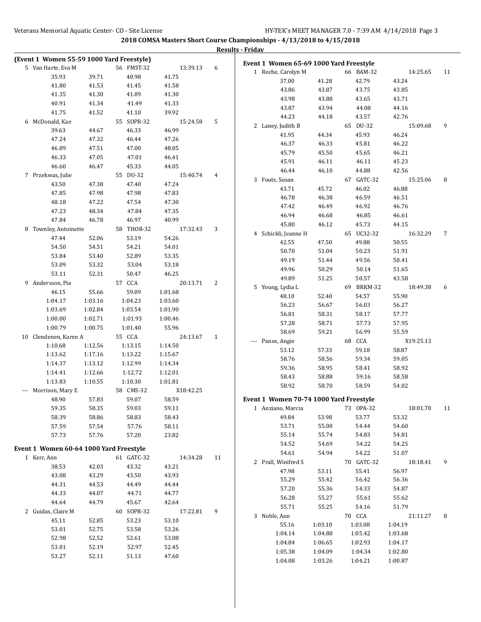|          |                                           |         |            |           |    | <b>Results - Friday</b>                 |         |            |           |    |
|----------|-------------------------------------------|---------|------------|-----------|----|-----------------------------------------|---------|------------|-----------|----|
|          | (Event 1 Women 55-59 1000 Yard Freestyle) |         |            |           |    | Event 1 Women 65-69 1000 Yard Freestyle |         |            |           |    |
|          | 5 Van Harte, Eva M                        |         | 56 FMST-32 | 13:39.13  | 6  | 1 Roche, Carolyn M                      |         | 66 BAM-32  | 14:25.65  | 11 |
|          | 35.93                                     | 39.71   | 40.98      | 41.75     |    | 37.00                                   | 41.28   | 42.79      | 43.24     |    |
|          | 41.80                                     | 41.53   | 41.45      | 41.58     |    | 43.86                                   | 43.87   | 43.75      | 43.85     |    |
|          | 41.35                                     | 41.30   | 41.09      | 41.30     |    | 43.98                                   | 43.88   | 43.65      | 43.71     |    |
|          | 40.91                                     | 41.34   | 41.49      | 41.33     |    | 43.87                                   | 43.94   | 44.08      | 44.16     |    |
|          | 41.75                                     | 41.52   | 41.10      | 39.92     |    | 44.23                                   | 44.18   | 43.57      | 42.76     |    |
|          | 6 McDonald, Kae                           |         | 55 SOPR-32 | 15:24.58  | 5  | 2 Laney, Judith B                       |         | 65 DU-32   | 15:09.68  | 9  |
|          | 39.63                                     | 44.67   | 46.33      | 46.99     |    | 41.95                                   | 44.34   | 45.93      | 46.24     |    |
|          | 47.24                                     | 47.32   | 46.44      | 47.26     |    | 46.37                                   | 46.33   | 45.81      | 46.22     |    |
|          | 46.89                                     | 47.51   | 47.00      | 48.05     |    | 45.79                                   | 45.50   | 45.65      | 46.21     |    |
|          | 46.33                                     | 47.05   | 47.01      | 46.41     |    | 45.91                                   | 46.11   | 46.11      | 45.23     |    |
|          | 46.60                                     | 46.47   | 45.33      | 44.05     |    | 46.44                                   | 46.10   | 44.88      | 42.56     |    |
|          | 7 Przekwas, Julie                         |         | 55 DU-32   | 15:40.74  | 4  | 3 Fouts, Susan                          |         | 67 GATC-32 | 15:25.06  | 8  |
|          | 43.50                                     | 47.38   | 47.40      | 47.24     |    | 43.71                                   | 45.72   | 46.02      | 46.88     |    |
|          | 47.85                                     | 47.98   | 47.98      | 47.83     |    | 46.78                                   | 46.38   | 46.59      | 46.51     |    |
|          | 48.18                                     | 47.22   | 47.54      | 47.30     |    | 47.42                                   | 46.49   | 46.92      |           |    |
|          | 47.23                                     | 48.34   | 47.84      | 47.35     |    |                                         |         |            | 46.76     |    |
|          | 47.84                                     | 46.78   | 46.97      | 40.99     |    | 46.94                                   | 46.68   | 46.85      | 46.61     |    |
|          | 8 Townley, Antoinette                     |         | 58 THOR-32 | 17:32.43  | 3  | 45.80                                   | 46.12   | 45.73      | 44.15     |    |
|          | 47.44                                     | 52.06   | 53.19      | 54.26     |    | 4 Schickli, Jeanne H                    |         | 65 UC32-32 | 16:32.29  | 7  |
|          | 54.50                                     | 54.51   | 54.21      | 54.01     |    | 42.55                                   | 47.50   | 49.88      | 50.55     |    |
|          | 53.84                                     | 53.40   | 52.89      | 53.35     |    | 50.70                                   | 51.04   | 50.23      | 51.91     |    |
|          | 53.09                                     | 53.32   | 53.04      | 53.18     |    | 49.19                                   | 51.44   | 49.56      | 50.41     |    |
|          | 53.11                                     | 52.31   | 50.47      | 46.25     |    | 49.96                                   | 50.29   | 50.14      | 51.65     |    |
|          | 9 Andersson, Pia                          |         | 57 CCA     | 20:13.71  | 2  | 49.89                                   | 51.25   | 50.57      | 43.58     |    |
|          | 46.15                                     | 55.66   | 59.09      | 1:01.68   |    | 5 Young, Lydia L                        |         | 69 BRKM-32 | 18:49.38  | 6  |
|          | 1:04.17                                   | 1:03.16 | 1:04.23    | 1:03.60   |    | 48.10                                   | 52.40   | 54.57      | 55.90     |    |
|          | 1:03.69                                   | 1:02.84 | 1:03.54    | 1:01.90   |    | 56.23                                   | 56.67   | 56.03      | 56.27     |    |
|          | 1:00.00                                   | 1:02.71 | 1:01.93    | 1:00.46   |    | 56.81                                   | 58.31   | 58.17      | 57.77     |    |
|          | 1:00.79                                   | 1:00.75 | 1:01.40    | 55.96     |    | 57.28                                   | 58.71   | 57.73      | 57.95     |    |
|          | 10 Clendenen, Karen A                     |         | 55 CCA     | 24:13.67  | 1  | 58.69                                   | 59.21   | 56.99      | 55.59     |    |
|          | 1:10.68                                   | 1:12.56 | 1:13.15    | 1:14.50   |    | --- Panos, Angie                        |         | 68 CCA     | X19:25.13 |    |
|          | 1:13.62                                   | 1:17.16 | 1:13.22    | 1:15.67   |    | 53.12                                   | 57.33   | 59.18      | 58.87     |    |
|          | 1:14.37                                   | 1:13.12 | 1:12.99    | 1:14.34   |    | 58.76                                   | 58.56   | 59.34      | 59.05     |    |
|          | 1:14.41                                   | 1:12.66 | 1:12.72    | 1:12.01   |    | 59.36                                   | 58.95   | 58.41      | 58.92     |    |
|          | 1:13.83                                   | 1:10.55 | 1:10.30    | 1:01.81   |    | 58.43                                   | 58.88   | 59.16      | 58.58     |    |
| $\cdots$ | Morrison, Mary E                          |         | 58 CMS-32  | X18:42.25 |    | 58.92                                   | 58.70   | 58.59      | 54.02     |    |
|          | 48.90                                     | 57.83   | 59.07      | 58.59     |    | Event 1 Women 70-74 1000 Yard Freestyle |         |            |           |    |
|          | 59.35                                     | 58.35   | 59.03      | 59.11     |    | 1 Anziano, Marcia                       |         | 73 OPA-32  | 18:01.70  | 11 |
|          | 58.39                                     | 58.86   | 58.83      | 58.43     |    | 49.84                                   | 53.98   | 53.77      | 53.32     |    |
|          | 57.59                                     | 57.54   | 57.76      | 58.11     |    | 53.71                                   | 55.00   | 54.44      | 54.60     |    |
|          | 57.73                                     | 57.76   | 57.20      | 23.82     |    | 55.14                                   | 55.74   | 54.83      | 54.81     |    |
|          |                                           |         |            |           |    | 54.52                                   | 54.69   | 54.22      | 54.25     |    |
|          | Event 1 Women 60-64 1000 Yard Freestyle   |         |            |           |    | 54.61                                   | 54.94   | 54.22      | 51.07     |    |
|          | 1 Kerr, Ann                               |         | 61 GATC-32 | 14:34.28  | 11 | 2 Prall, Winifred S                     |         | 70 GATC-32 | 18:18.41  | 9  |
|          | 38.53                                     | 42.03   | 43.32      | 43.21     |    | 47.98                                   | 53.11   | 55.41      | 56.97     |    |
|          | 43.08                                     | 43.29   | 43.50      | 43.93     |    | 55.29                                   | 55.42   | 56.42      | 56.36     |    |
|          | 44.31                                     | 44.53   | 44.49      | 44.44     |    | 57.20                                   | 55.36   | 54.33      | 54.87     |    |
|          | 44.33                                     | 44.07   | 44.71      | 44.77     |    | 56.28                                   | 55.27   | 55.61      | 55.62     |    |
|          | 44.64                                     | 44.79   | 45.67      | 42.64     |    | 55.71                                   | 55.25   | 54.16      | 51.79     |    |
|          | 2 Guidas, Claire M                        |         | 60 SOPR-32 | 17:22.81  | 9  | 3 Noble, Ann                            |         | 70 CCA     | 21:11.27  | 8  |
|          | 45.11                                     | 52.85   | 53.23      | 53.10     |    | 55.16                                   | 1:03.10 | 1:03.08    | 1:04.19   |    |
|          | 53.01                                     | 52.75   | 53.58      | 53.26     |    | 1:04.14                                 | 1:04.88 | 1:05.42    | 1:03.68   |    |
|          | 52.98                                     | 52.52   | 52.61      | 53.08     |    | 1:04.84                                 | 1:06.65 | 1:02.93    | 1:04.17   |    |
|          | 53.01                                     | 52.19   | 52.97      | 52.45     |    | 1:05.38                                 | 1:04.09 | 1:04.34    | 1:02.80   |    |
|          | 53.27                                     | 52.11   | 51.13      | 47.60     |    | 1:04.08                                 | 1:03.26 | 1:04.21    | 1:00.87   |    |
|          |                                           |         |            |           |    |                                         |         |            |           |    |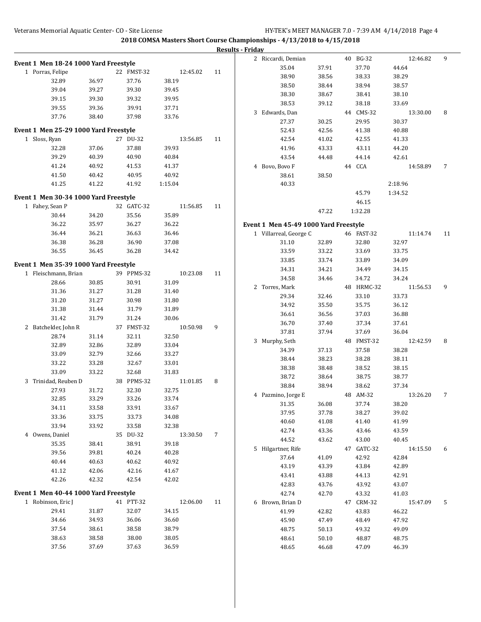|                                       |       |            |          |    | <b>Results - Friday</b>               |                |                     |                   |    |
|---------------------------------------|-------|------------|----------|----|---------------------------------------|----------------|---------------------|-------------------|----|
| Event 1 Men 18-24 1000 Yard Freestyle |       |            |          |    | 2 Riccardi, Demian                    |                | 40 BG-32            | 12:46.82          | 9  |
| 1 Porras, Felipe                      |       | 22 FMST-32 | 12:45.02 | 11 | 35.04                                 | 37.91          | 37.70               | 44.64             |    |
| 32.89                                 | 36.97 | 37.76      | 38.19    |    | 38.90                                 | 38.56          | 38.33               | 38.29             |    |
| 39.04                                 | 39.27 | 39.30      | 39.45    |    | 38.50                                 | 38.44          | 38.94               | 38.57             |    |
| 39.15                                 | 39.30 | 39.32      | 39.95    |    | 38.30                                 | 38.67          | 38.41               | 38.10             |    |
| 39.55                                 | 39.36 | 39.91      | 37.71    |    | 38.53                                 | 39.12          | 38.18               | 33.69             |    |
| 37.76                                 | 38.40 | 37.98      | 33.76    |    | 3 Edwards, Dan                        |                | 44 CMS-32           | 13:30.00          | 8  |
|                                       |       |            |          |    | 27.37                                 | 30.25          | 29.95               | 30.37             |    |
| Event 1 Men 25-29 1000 Yard Freestyle |       |            |          |    | 52.43                                 | 42.56          | 41.38               | 40.88             |    |
| 1 Sloss, Ryan                         |       | 27 DU-32   | 13:56.85 | 11 | 42.54                                 | 41.02          | 42.55               | 41.33             |    |
| 32.28                                 | 37.06 | 37.88      | 39.93    |    | 41.96                                 | 43.33          | 43.11               | 44.20             |    |
| 39.29                                 | 40.39 | 40.90      | 40.84    |    | 43.54                                 | 44.48          | 44.14               | 42.61             |    |
| 41.24                                 | 40.92 | 41.53      | 41.37    |    | 4 Bovo, Bovo F                        |                | 44 CCA              | 14:58.89          | 7  |
| 41.50                                 | 40.42 | 40.95      | 40.92    |    | 38.61                                 | 38.50          |                     |                   |    |
| 41.25                                 | 41.22 | 41.92      | 1:15.04  |    | 40.33                                 |                |                     | 2:18.96           |    |
| Event 1 Men 30-34 1000 Yard Freestyle |       |            |          |    |                                       |                | 45.79               | 1:34.52           |    |
| 1 Fahey, Sean P                       |       | 32 GATC-32 | 11:56.85 | 11 |                                       |                | 46.15               |                   |    |
| 30.44                                 | 34.20 | 35.56      | 35.89    |    |                                       | 47.22          | 1:32.28             |                   |    |
| 36.22                                 | 35.97 | 36.27      | 36.22    |    | Event 1 Men 45-49 1000 Yard Freestyle |                |                     |                   |    |
| 36.44                                 | 36.21 | 36.63      | 36.46    |    | 1 Villarreal, George C                |                | 46 FAST-32          | 11:14.74          | 11 |
| 36.38                                 | 36.28 | 36.90      | 37.08    |    | 31.10                                 | 32.89          | 32.80               | 32.97             |    |
| 36.55                                 | 36.45 | 36.28      | 34.42    |    | 33.59                                 | 33.22          | 33.69               | 33.75             |    |
| Event 1 Men 35-39 1000 Yard Freestyle |       |            |          |    | 33.85                                 | 33.74          | 33.89               | 34.09             |    |
| 1 Fleischmann, Brian                  |       | 39 PPMS-32 | 10:23.08 | 11 | 34.31                                 | 34.21          | 34.49               | 34.15             |    |
| 28.66                                 | 30.85 | 30.91      | 31.09    |    | 34.58                                 | 34.46          | 34.72               | 34.24             |    |
| 31.36                                 | 31.27 | 31.28      | 31.40    |    | 2 Torres, Mark                        |                | 48 HRMC-32          | 11:56.53          | 9  |
| 31.20                                 | 31.27 | 30.98      | 31.80    |    | 29.34                                 | 32.46          | 33.10               | 33.73             |    |
| 31.38                                 | 31.44 | 31.79      | 31.89    |    | 34.92                                 | 35.50          | 35.75               | 36.12             |    |
| 31.42                                 | 31.79 | 31.24      | 30.06    |    | 36.61                                 | 36.56          | 37.03               | 36.88             |    |
| 2 Batchelder, John R                  |       | 37 FMST-32 | 10:50.98 | 9  | 36.70                                 | 37.40          | 37.34               | 37.61             |    |
| 28.74                                 | 31.14 | 32.11      | 32.50    |    | 37.81                                 | 37.94          | 37.69               | 36.04             |    |
| 32.89                                 | 32.86 | 32.89      | 33.04    |    | 3 Murphy, Seth                        |                | 48 FMST-32          | 12:42.59          | 8  |
| 33.09                                 | 32.79 | 32.66      | 33.27    |    | 34.39                                 | 37.13          | 37.58               | 38.28             |    |
| 33.22                                 | 33.28 | 32.67      | 33.01    |    | 38.44                                 | 38.23          | 38.28               | 38.11             |    |
| 33.09                                 | 33.22 | 32.68      | 31.83    |    | 38.38                                 | 38.48          | 38.52               | 38.15             |    |
| 3 Trinidad, Reuben D                  |       | 38 PPMS-32 | 11:01.85 | 8  | 38.72                                 | 38.64          | 38.75               | 38.77             |    |
| 27.93                                 | 31.72 | 32.30      | 32.75    |    | 38.84                                 | 38.94          | 38.62               | 37.34             |    |
| 32.85                                 | 33.29 | 33.26      | 33.74    |    | 4 Pazmino, Jorge E                    |                | 48 AM-32            | 13:26.20          | 7  |
| 34.11                                 | 33.58 | 33.91      | 33.67    |    | 31.35                                 | 36.08          | 37.74               | 38.20             |    |
| 33.36                                 | 33.75 | 33.73      | 34.08    |    | 37.95                                 | 37.78          | 38.27               | 39.02             |    |
| 33.94                                 | 33.92 | 33.58      | 32.38    |    | 40.60<br>42.74                        | 41.08          | 41.40<br>43.46      | 41.99             |    |
| 4 Owens, Daniel                       |       | 35 DU-32   | 13:30.50 | 7  | 44.52                                 | 43.36<br>43.62 | 43.00               | 43.59             |    |
| 35.35                                 | 38.41 | 38.91      | 39.18    |    | 5 Hilgartner, Rife                    |                |                     | 40.45             |    |
| 39.56                                 | 39.81 | 40.24      | 40.28    |    | 37.64                                 | 41.09          | 47 GATC-32<br>42.92 | 14:15.50<br>42.84 | 6  |
| 40.44                                 | 40.63 | 40.62      | 40.92    |    | 43.19                                 | 43.39          | 43.84               | 42.89             |    |
| 41.12                                 | 42.06 | 42.16      | 41.67    |    | 43.41                                 | 43.88          | 44.13               | 42.91             |    |
| 42.26                                 | 42.32 | 42.54      | 42.02    |    | 42.83                                 | 43.76          | 43.92               | 43.07             |    |
| Event 1 Men 40-44 1000 Yard Freestyle |       |            |          |    | 42.74                                 | 42.70          | 43.32               | 41.03             |    |
| 1 Robinson, Eric J                    |       | 41 PTT-32  | 12:06.00 | 11 | 6 Brown, Brian D                      |                | 47 CRM-32           | 15:47.09          | 5  |
| 29.41                                 | 31.87 | 32.07      | 34.15    |    | 41.99                                 | 42.82          | 43.83               | 46.22             |    |
| 34.66                                 | 34.93 | 36.06      | 36.60    |    | 45.90                                 | 47.49          | 48.49               | 47.92             |    |
| 37.54                                 | 38.61 | 38.58      | 38.79    |    | 48.75                                 | 50.13          | 49.32               | 49.09             |    |
| 38.63                                 | 38.58 | 38.00      | 38.05    |    | 48.61                                 | 50.10          | 48.87               | 48.75             |    |
| 37.56                                 | 37.69 | 37.63      | 36.59    |    | 48.65                                 | 46.68          | 47.09               | 46.39             |    |
|                                       |       |            |          |    |                                       |                |                     |                   |    |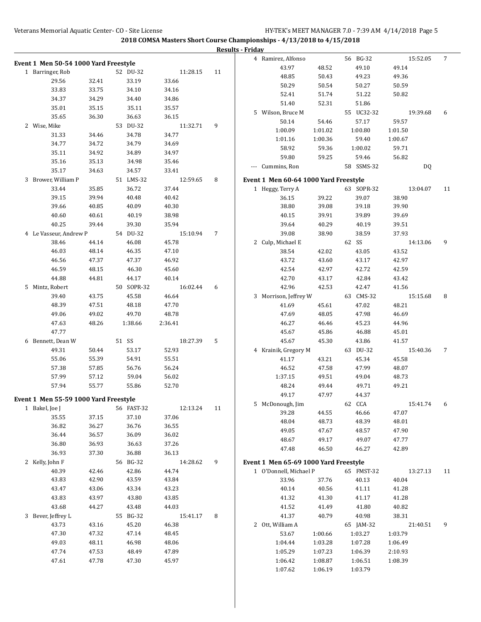|                                       |                |            |          |    | <b>Results - Friday</b>               |         |            |          |                |
|---------------------------------------|----------------|------------|----------|----|---------------------------------------|---------|------------|----------|----------------|
| Event 1 Men 50-54 1000 Yard Freestyle |                |            |          |    | 4 Ramirez, Alfonso                    |         | 56 BG-32   | 15:52.05 | $\overline{7}$ |
| 1 Barringer, Rob                      |                | 52 DU-32   | 11:28.15 | 11 | 43.97                                 | 48.52   | 49.10      | 49.14    |                |
| 29.56                                 | 32.41          | 33.19      | 33.66    |    | 48.85                                 | 50.43   | 49.23      | 49.36    |                |
| 33.83                                 | 33.75          | 34.10      | 34.16    |    | 50.29                                 | 50.54   | 50.27      | 50.59    |                |
| 34.37                                 | 34.29          | 34.40      | 34.86    |    | 52.41                                 | 51.74   | 51.22      | 50.82    |                |
| 35.01                                 | 35.15          | 35.11      | 35.57    |    | 51.40                                 | 52.31   | 51.86      |          |                |
| 35.65                                 | 36.30          | 36.63      | 36.15    |    | 5 Wilson, Bruce M                     |         | 55 UC32-32 | 19:39.68 | 6              |
|                                       |                |            |          |    | 50.14                                 | 54.46   | 57.17      | 59.57    |                |
| 2 Wise, Mike                          |                | 53 DU-32   | 11:32.71 | 9  | 1:00.09                               | 1:01.02 | 1:00.80    | 1:01.50  |                |
| 31.33                                 | 34.46          | 34.78      | 34.77    |    | 1:01.16                               | 1:00.36 | 59.40      | 1:00.67  |                |
| 34.77                                 | 34.72          | 34.79      | 34.69    |    | 58.92                                 | 59.36   | 1:00.02    | 59.71    |                |
| 35.11                                 | 34.92          | 34.89      | 34.97    |    | 59.80                                 | 59.25   | 59.46      | 56.82    |                |
| 35.16                                 | 35.13          | 34.98      | 35.46    |    | --- Cummins, Ron                      |         | 58 SSMS-32 | DQ       |                |
| 35.17                                 | 34.63          | 34.57      | 33.41    |    |                                       |         |            |          |                |
| 3 Brower, William P                   |                | 51 LMS-32  | 12:59.65 | 8  | Event 1 Men 60-64 1000 Yard Freestyle |         |            |          |                |
| 33.44                                 | 35.85          | 36.72      | 37.44    |    | 1 Heggy, Terry A                      |         | 63 SOPR-32 | 13:04.07 | 11             |
| 39.15                                 | 39.94          | 40.48      | 40.42    |    | 36.15                                 | 39.22   | 39.07      | 38.90    |                |
| 39.66                                 | 40.85          | 40.09      | 40.30    |    | 38.80                                 | 39.08   | 39.18      | 39.90    |                |
| 40.60                                 | 40.61          | 40.19      | 38.98    |    | 40.15                                 | 39.91   | 39.89      | 39.69    |                |
| 40.25                                 | 39.44          | 39.30      | 35.94    |    | 39.64                                 | 40.29   | 40.19      | 39.51    |                |
| 4 Le Vasseur, Andrew P                |                | 54 DU-32   | 15:10.94 | 7  | 39.08                                 | 38.90   | 38.59      | 37.93    |                |
| 38.46                                 | 44.14          | 46.08      | 45.78    |    | 2 Culp, Michael E                     |         | 62 SS      | 14:13.06 | 9              |
| 46.03                                 | 48.14          | 46.35      | 47.10    |    | 38.54                                 | 42.02   | 43.05      | 43.52    |                |
| 46.56                                 | 47.37          | 47.37      | 46.92    |    | 43.72                                 | 43.60   | 43.17      | 42.97    |                |
| 46.59                                 | 48.15          | 46.30      | 45.60    |    | 42.54                                 | 42.97   | 42.72      | 42.59    |                |
| 44.88                                 | 44.81          | 44.17      | 40.14    |    | 42.70                                 | 43.17   | 42.84      | 43.42    |                |
| 5 Mintz, Robert                       |                | 50 SOPR-32 | 16:02.44 | 6  | 42.96                                 | 42.53   | 42.47      | 41.56    |                |
| 39.40                                 | 43.75          | 45.58      | 46.64    |    | 3 Morrison, Jeffrey W                 |         | 63 CMS-32  | 15:15.68 | 8              |
| 48.39                                 | 47.51          | 48.18      | 47.70    |    | 41.69                                 | 45.61   | 47.02      | 48.21    |                |
| 49.06                                 | 49.02          | 49.70      | 48.78    |    | 47.69                                 | 48.05   | 47.98      | 46.69    |                |
| 47.63                                 | 48.26          | 1:38.66    | 2:36.41  |    | 46.27                                 | 46.46   | 45.23      | 44.96    |                |
| 47.77                                 |                |            |          |    | 45.67                                 | 45.86   | 46.88      | 45.01    |                |
| 6 Bennett, Dean W                     |                | 51 SS      | 18:27.39 | 5  | 45.67                                 | 45.30   | 43.86      | 41.57    |                |
| 49.31                                 | 50.44          | 53.17      | 52.93    |    | 4 Krainik, Gregory M                  |         | 63 DU-32   | 15:40.36 | 7              |
| 55.06                                 | 55.39          | 54.91      | 55.51    |    | 41.17                                 | 43.21   | 45.34      | 45.58    |                |
| 57.38                                 | 57.85          | 56.76      | 56.24    |    | 46.52                                 | 47.58   | 47.99      | 48.07    |                |
| 57.99                                 | 57.12          | 59.04      | 56.02    |    | 1:37.15                               | 49.51   | 49.04      | 48.73    |                |
| 57.94                                 | 55.77          | 55.86      | 52.70    |    | 48.24                                 | 49.44   | 49.71      | 49.21    |                |
|                                       |                |            |          |    | 49.17                                 | 47.97   | 44.37      |          |                |
| Event 1 Men 55-59 1000 Yard Freestyle |                | 56 FAST-32 | 12:13.24 | 11 | 5 McDonough, Jim                      |         | 62 CCA     | 15:41.74 | 6              |
| 1 Bakel, Joe J<br>35.55               | 37.15          | 37.10      | 37.06    |    | 39.28                                 | 44.55   | 46.66      | 47.07    |                |
| 36.82                                 | 36.27          | 36.76      | 36.55    |    | 48.04                                 | 48.73   | 48.39      | 48.01    |                |
| 36.44                                 | 36.57          | 36.09      | 36.02    |    | 49.05                                 | 47.67   | 48.57      | 47.90    |                |
| 36.80                                 | 36.93          | 36.63      | 37.26    |    | 48.67                                 | 49.17   | 49.07      | 47.77    |                |
|                                       |                |            |          |    | 47.48                                 | 46.50   | 46.27      | 42.89    |                |
| 36.93                                 | 37.30          | 36.88      | 36.13    |    |                                       |         |            |          |                |
| 2 Kelly, John F                       |                | 56 BG-32   | 14:28.62 | 9  | Event 1 Men 65-69 1000 Yard Freestyle |         |            |          |                |
| 40.39                                 | 42.46<br>42.90 | 42.86      | 44.74    |    | 1 O'Donnell, Michael P                |         | 65 FMST-32 | 13:27.13 | 11             |
| 43.83                                 |                | 43.59      | 43.84    |    | 33.96                                 | 37.76   | 40.13      | 40.04    |                |
| 43.47                                 | 43.06          | 43.34      | 43.23    |    | 40.14                                 | 40.56   | 41.11      | 41.28    |                |
| 43.83                                 | 43.97          | 43.80      | 43.85    |    | 41.32                                 | 41.30   | 41.17      | 41.28    |                |
| 43.68                                 | 44.27          | 43.48      | 44.03    |    | 41.52                                 | 41.49   | 41.80      | 40.82    |                |
| 3 Bever, Jeffrey L                    |                | 55 BG-32   | 15:41.17 | 8  | 41.37                                 | 40.79   | 40.98      | 38.31    |                |
| 43.73                                 | 43.16          | 45.20      | 46.38    |    | 2 Ott, William A                      |         | 65 JAM-32  | 21:40.51 | 9              |
| 47.30                                 | 47.32          | 47.14      | 48.45    |    | 53.67                                 | 1:00.66 | 1:03.27    | 1:03.79  |                |
| 49.03                                 | 48.11          | 46.98      | 48.06    |    | 1:04.44                               | 1:03.28 | 1:07.28    | 1:06.49  |                |
| 47.74                                 | 47.53          | 48.49      | 47.89    |    | 1:05.29                               | 1:07.23 | 1:06.39    | 2:10.93  |                |
| 47.61                                 | 47.78          | 47.30      | 45.97    |    | 1:06.42                               | 1:08.87 | 1:06.51    | 1:08.39  |                |
|                                       |                |            |          |    | 1:07.62                               | 1:06.19 | 1:03.79    |          |                |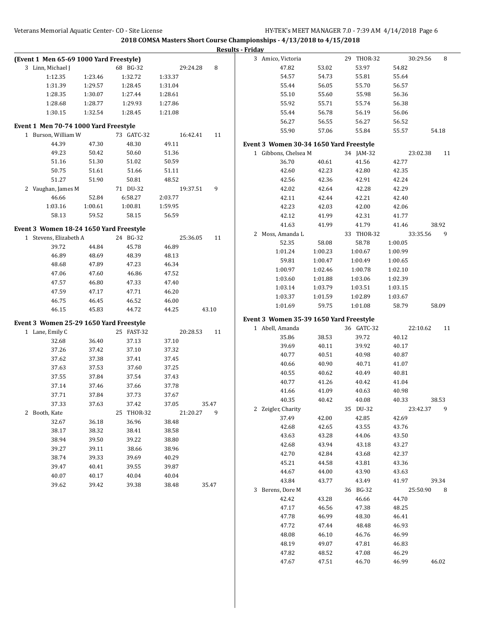|                                         |                |                |                |                | <b>Results - Friday</b>                                    |         |            |         |                |
|-----------------------------------------|----------------|----------------|----------------|----------------|------------------------------------------------------------|---------|------------|---------|----------------|
| (Event 1 Men 65-69 1000 Yard Freestyle) |                |                |                |                | 3 Amico, Victoria                                          |         | 29 THOR-32 |         | 8<br>30:29.56  |
| 3 Linn, Michael J                       |                | 68 BG-32       |                | 8<br>29:24.28  | 47.82                                                      | 53.02   | 53.97      | 54.82   |                |
| 1:12.35                                 | 1:23.46        | 1:32.72        | 1:33.37        |                | 54.57                                                      | 54.73   | 55.81      | 55.64   |                |
| 1:31.39                                 | 1:29.57        | 1:28.45        | 1:31.04        |                | 55.44                                                      | 56.05   | 55.70      | 56.57   |                |
| 1:28.35                                 | 1:30.07        | 1:27.44        | 1:28.61        |                | 55.10                                                      | 55.60   | 55.98      | 56.36   |                |
| 1:28.68                                 | 1:28.77        | 1:29.93        | 1:27.86        |                | 55.92                                                      | 55.71   | 55.74      | 56.38   |                |
| 1:30.15                                 | 1:32.54        | 1:28.45        | 1:21.08        |                | 55.44                                                      | 56.78   | 56.19      | 56.06   |                |
| Event 1 Men 70-74 1000 Yard Freestyle   |                |                |                |                | 56.27                                                      | 56.55   | 56.27      | 56.52   |                |
| 1 Burson, William W                     |                | 73 GATC-32     |                | 16:42.41<br>11 | 55.90                                                      | 57.06   | 55.84      | 55.57   | 54.18          |
| 44.39                                   | 47.30          | 48.30          | 49.11          |                | Event 3 Women 30-34 1650 Yard Freestyle                    |         |            |         |                |
| 49.23                                   | 50.42          | 50.60          | 51.36          |                | 1 Gibbons, Chelsea M                                       |         | 34 JAM-32  |         | 23:02.38<br>11 |
| 51.16                                   | 51.30          | 51.02          | 50.59          |                | 36.70                                                      | 40.61   | 41.56      | 42.77   |                |
| 50.75                                   | 51.61          | 51.66          | 51.11          |                | 42.60                                                      | 42.23   | 42.80      | 42.35   |                |
| 51.27                                   | 51.90          | 50.81          | 48.52          |                | 42.56                                                      | 42.36   | 42.91      | 42.24   |                |
| 2 Vaughan, James M                      |                | 71 DU-32       |                | 19:37.51<br>9  | 42.02                                                      | 42.64   | 42.28      | 42.29   |                |
| 46.66                                   | 52.84          | 6:58.27        | 2:03.77        |                | 42.11                                                      | 42.44   | 42.21      | 42.40   |                |
| 1:03.16                                 | 1:00.61        | 1:00.81        | 1:59.95        |                | 42.23                                                      | 42.03   | 42.00      | 42.06   |                |
| 58.13                                   | 59.52          | 58.15          | 56.59          |                | 42.12                                                      | 41.99   | 42.31      | 41.77   |                |
|                                         |                |                |                |                | 41.63                                                      | 41.99   | 41.79      | 41.46   | 38.92          |
| Event 3 Women 18-24 1650 Yard Freestyle |                |                |                |                | 2 Moss, Amanda L                                           |         | 33 THOR-32 |         | 33:35.56<br>9  |
| 1 Stevens, Elizabeth A                  |                | 24 BG-32       |                | 25:36.05<br>11 | 52.35                                                      | 58.08   | 58.78      | 1:00.05 |                |
| 39.72                                   | 44.84          | 45.78          | 46.89          |                | 1:01.24                                                    | 1:00.23 | 1:00.67    | 1:00.99 |                |
| 46.89                                   | 48.69          | 48.39          | 48.13          |                | 59.81                                                      | 1:00.47 | 1:00.49    | 1:00.65 |                |
| 48.68                                   | 47.89          | 47.23          | 46.34          |                | 1:00.97                                                    | 1:02.46 | 1:00.78    | 1:02.10 |                |
| 47.06                                   | 47.60          | 46.86          | 47.52          |                | 1:03.60                                                    | 1:01.88 | 1:03.06    | 1:02.39 |                |
| 47.57                                   | 46.80          | 47.33          | 47.40          |                | 1:03.14                                                    | 1:03.79 | 1:03.51    | 1:03.15 |                |
| 47.59                                   | 47.17          | 47.71          | 46.20          |                | 1:03.37                                                    | 1:01.59 | 1:02.89    | 1:03.67 |                |
| 46.75                                   | 46.45          | 46.52          | 46.00          |                | 1:01.69                                                    | 59.75   | 1:01.08    | 58.79   | 58.09          |
| 46.15                                   | 45.83          | 44.72          | 44.25          | 43.10          |                                                            |         |            |         |                |
| Event 3 Women 25-29 1650 Yard Freestyle |                |                |                |                | Event 3 Women 35-39 1650 Yard Freestyle<br>1 Abell, Amanda |         | 36 GATC-32 |         | 22:10.62<br>11 |
| 1 Lane, Emily C                         |                | 25 FAST-32     |                | 20:28.53<br>11 | 35.86                                                      | 38.53   | 39.72      | 40.12   |                |
| 32.68                                   | 36.40          | 37.13          | 37.10          |                | 39.69                                                      | 40.11   | 39.92      | 40.17   |                |
| 37.26                                   | 37.42          | 37.10          | 37.32          |                | 40.77                                                      | 40.51   | 40.98      | 40.87   |                |
| 37.62                                   | 37.38          | 37.41          | 37.45          |                | 40.66                                                      | 40.90   | 40.71      | 41.07   |                |
| 37.63                                   | 37.53          | 37.60          | 37.25          |                | 40.55                                                      | 40.62   | 40.49      | 40.81   |                |
| 37.55                                   | 37.84          | 37.54          | 37.43          |                | 40.77                                                      | 41.26   | 40.42      | 41.04   |                |
| 37.14                                   | 37.46          | 37.66          | 37.78          |                | 41.66                                                      | 41.09   | 40.63      | 40.98   |                |
| 37.71                                   | 37.84          | 37.73          | 37.67          |                | 40.35                                                      | 40.42   | 40.08      | 40.33   | 38.53          |
| 37.33                                   | 37.63          | 37.42          | 37.05          | 35.47          | 2 Zeigler, Charity                                         |         | 35 DU-32   |         | 23:42.37<br>9  |
| 2 Booth, Kate                           |                | 25 THOR-32     |                | 21:20.27<br>9  | 37.49                                                      | 42.00   | 42.85      | 42.69   |                |
| 32.67<br>38.17                          | 36.18          | 36.96          | 38.48          |                | 42.68                                                      | 42.65   | 43.55      | 43.76   |                |
| 38.94                                   | 38.32          | 38.41          | 38.58          |                | 43.63                                                      | 43.28   | 44.06      | 43.50   |                |
| 39.27                                   | 39.50          | 39.22          | 38.80          |                | 42.68                                                      | 43.94   | 43.18      | 43.27   |                |
| 38.74                                   | 39.11<br>39.33 | 38.66<br>39.69 | 38.96<br>40.29 |                | 42.70                                                      | 42.84   | 43.68      | 42.37   |                |
| 39.47                                   | 40.41          | 39.55          | 39.87          |                | 45.21                                                      | 44.58   | 43.81      | 43.36   |                |
| 40.07                                   | 40.17          | 40.04          | 40.04          |                | 44.67                                                      | 44.00   | 43.90      | 43.63   |                |
| 39.62                                   | 39.42          | 39.38          | 38.48          | 35.47          | 43.84                                                      | 43.77   | 43.49      | 41.97   | 39.34          |
|                                         |                |                |                |                | 3 Berens, Dore M                                           |         | 36 BG-32   |         | 25:50.90<br>8  |
|                                         |                |                |                |                | 42.42                                                      | 43.28   | 46.66      | 44.70   |                |
|                                         |                |                |                |                | 47.17                                                      | 46.56   | 47.38      | 48.25   |                |
|                                         |                |                |                |                | 47.78                                                      | 46.99   | 48.30      | 46.41   |                |
|                                         |                |                |                |                | 47.72                                                      | 47.44   | 48.48      | 46.93   |                |
|                                         |                |                |                |                | 48.08                                                      | 46.10   | 46.76      | 46.99   |                |
|                                         |                |                |                |                | 48.19                                                      | 49.07   | 47.81      | 46.83   |                |
|                                         |                |                |                |                | 47.82                                                      | 48.52   | 47.08      | 46.29   |                |
|                                         |                |                |                |                | 47.67                                                      | 47.51   | 46.70      | 46.99   | 46.02          |
|                                         |                |                |                |                |                                                            |         |            |         |                |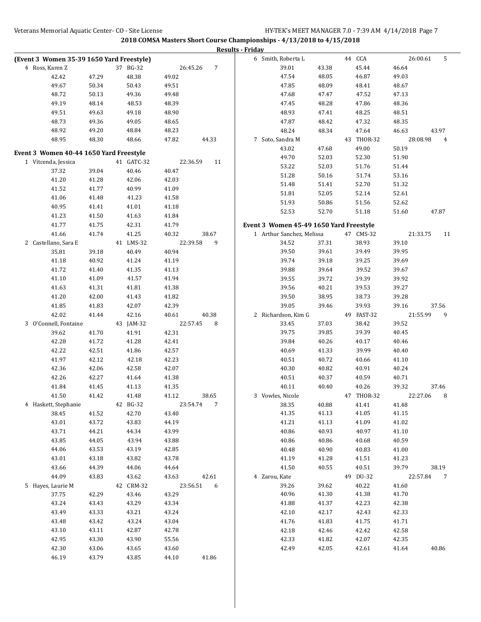|                                           |       |            |       |                            | <b>Results - Friday</b> |                                         |       |            |       |                |
|-------------------------------------------|-------|------------|-------|----------------------------|-------------------------|-----------------------------------------|-------|------------|-------|----------------|
| (Event 3 Women 35-39 1650 Yard Freestyle) |       |            |       |                            |                         | 6 Smith, Roberta L                      |       | 44 CCA     |       | 5<br>26:00.61  |
| 4 Ross, Karen Z                           |       | 37 BG-32   |       | $\overline{7}$<br>26:45.26 |                         | 39.01                                   | 43.38 | 45.44      | 46.64 |                |
| 42.42                                     | 47.29 | 48.38      | 49.02 |                            |                         | 47.54                                   | 48.05 | 46.87      | 49.03 |                |
| 49.67                                     | 50.34 | 50.43      | 49.51 |                            |                         | 47.85                                   | 48.09 | 48.41      | 48.67 |                |
| 48.72                                     | 50.13 | 49.36      | 49.48 |                            |                         | 47.68                                   | 47.47 | 47.52      | 47.13 |                |
| 49.19                                     | 48.14 | 48.53      | 48.39 |                            |                         | 47.45                                   | 48.28 | 47.86      | 48.36 |                |
| 49.51                                     | 49.63 | 49.18      | 48.90 |                            |                         | 48.93                                   | 47.41 | 48.25      | 48.51 |                |
| 48.73                                     | 49.36 | 49.05      | 48.65 |                            |                         | 47.87                                   | 48.42 | 47.32      | 48.35 |                |
| 48.92                                     | 49.20 | 48.84      | 48.23 |                            |                         | 48.24                                   | 48.34 | 47.64      | 46.63 | 43.97          |
| 48.95                                     | 48.30 | 48.66      | 47.82 | 44.33                      |                         | 7 Soto, Sandra M                        |       | 43 THOR-32 |       | 28:08.98<br>4  |
|                                           |       |            |       |                            |                         | 43.02                                   | 47.68 | 49.00      | 50.19 |                |
| Event 3 Women 40-44 1650 Yard Freestyle   |       |            |       |                            |                         | 49.70                                   | 52.03 | 52.30      | 51.90 |                |
| 1 Vitcenda, Jessica                       |       | 41 GATC-32 |       | 22:36.59<br>11             |                         | 53.22                                   | 52.03 | 51.76      | 51.44 |                |
| 37.32                                     | 39.04 | 40.46      | 40.47 |                            |                         | 51.28                                   | 50.16 | 51.74      | 53.16 |                |
| 41.20                                     | 41.28 | 42.06      | 42.03 |                            |                         | 51.48                                   | 51.41 | 52.70      | 51.32 |                |
| 41.52                                     | 41.77 | 40.99      | 41.09 |                            |                         | 51.81                                   | 52.05 | 52.14      | 52.61 |                |
| 41.06                                     | 41.48 | 41.23      | 41.58 |                            |                         | 51.93                                   | 50.86 | 51.56      | 52.62 |                |
| 40.95                                     | 41.41 | 41.01      | 41.18 |                            |                         | 52.53                                   | 52.70 | 51.18      | 51.60 | 47.87          |
| 41.23                                     | 41.50 | 41.63      | 41.84 |                            |                         |                                         |       |            |       |                |
| 41.77                                     | 41.75 | 42.31      | 41.79 |                            |                         | Event 3 Women 45-49 1650 Yard Freestyle |       |            |       |                |
| 41.66                                     | 41.74 | 41.25      | 40.32 | 38.67                      |                         | 1 Arthur Sanchez, Melissa               |       | 47 CMS-32  |       | 21:33.75<br>11 |
| 2 Castellano, Sara E                      |       | 41 LMS-32  |       | 22:39.58<br>9              |                         | 34.52                                   | 37.31 | 38.93      | 39.10 |                |
| 35.81                                     | 39.18 | 40.49      | 40.94 |                            |                         | 39.50                                   | 39.61 | 39.49      | 39.95 |                |
| 41.18                                     | 40.92 | 41.24      | 41.19 |                            |                         | 39.74                                   | 39.18 | 39.25      | 39.69 |                |
| 41.72                                     | 41.40 | 41.35      | 41.13 |                            |                         | 39.88                                   | 39.64 | 39.52      | 39.67 |                |
| 41.10                                     | 41.09 | 41.57      | 41.94 |                            |                         | 39.55                                   | 39.72 | 39.39      | 39.92 |                |
| 41.63                                     | 41.31 | 41.81      | 41.38 |                            |                         | 39.56                                   | 40.21 | 39.53      | 39.27 |                |
| 41.20                                     | 42.00 | 41.43      | 41.82 |                            |                         | 39.50                                   | 38.95 | 38.73      | 39.28 |                |
| 41.85                                     | 41.83 | 42.07      | 42.39 |                            |                         | 39.05                                   | 39.46 | 39.93      | 39.16 | 37.56          |
| 42.02                                     | 41.44 | 42.16      | 40.61 | 40.38                      |                         | 2 Richardson, Kim G                     |       | 49 FAST-32 |       | 21:55.99<br>9  |
| 3 O'Connell, Fontaine                     |       | 43 JAM-32  |       | 22:57.45<br>8              |                         | 33.45                                   | 37.03 | 38.42      | 39.52 |                |
| 39.62                                     | 41.70 | 41.91      | 42.31 |                            |                         | 39.75                                   | 39.85 | 39.39      | 40.45 |                |
| 42.28                                     | 41.72 | 41.28      | 42.41 |                            |                         | 39.84                                   | 40.26 | 40.17      | 40.46 |                |
| 42.22                                     | 42.51 | 41.86      | 42.57 |                            |                         | 40.69                                   | 41.33 | 39.99      | 40.40 |                |
| 41.97                                     | 42.12 | 42.18      | 42.23 |                            |                         | 40.51                                   | 40.72 | 40.66      | 41.10 |                |
| 42.36                                     | 42.06 | 42.58      | 42.07 |                            |                         | 40.30                                   | 40.82 | 40.91      | 40.24 |                |
| 42.26                                     | 42.27 | 41.64      | 41.38 |                            |                         | 40.51                                   | 40.37 | 40.59      | 40.71 |                |
| 41.84                                     | 41.45 | 41.13      | 41.35 |                            |                         | 40.11                                   | 40.40 | 40.26      | 39.32 | 37.46          |
| 41.50                                     | 41.42 | 41.48      | 41.12 | 38.65                      |                         | 3 Vowles, Nicole                        |       | 47 THOR-32 |       | 22:27.06<br>8  |
| 4 Haskett, Stephanie                      |       | 42 BG-32   |       | 23:54.74<br>7              |                         | 38.35                                   | 40.88 | 41.41      | 41.48 |                |
| 38.45                                     | 41.52 | 42.70      | 43.40 |                            |                         | 41.35                                   | 41.13 | 41.05      | 41.15 |                |
| 43.01                                     | 43.72 | 43.83      | 44.19 |                            |                         | 41.21                                   | 41.13 | 41.09      | 41.02 |                |
| 43.71                                     | 44.21 | 44.34      | 43.99 |                            |                         | 40.86                                   | 40.93 | 40.97      | 41.10 |                |
| 43.85                                     | 44.05 | 43.94      | 43.88 |                            |                         | 40.86                                   | 40.86 | 40.68      | 40.59 |                |
| 44.06                                     | 43.53 | 43.19      | 42.85 |                            |                         | 40.48                                   | 40.90 | 40.83      | 41.00 |                |
| 43.01                                     | 43.18 | 43.82      | 43.78 |                            |                         | 41.19                                   | 41.28 | 41.51      | 41.23 |                |
| 43.66                                     | 44.39 | 44.06      | 44.64 |                            |                         | 41.50                                   | 40.55 | 40.51      | 39.79 | 38.19          |
| 44.09                                     | 43.83 | 43.62      | 43.63 | 42.61                      |                         | 4 Zarou, Kate                           |       | 49 DU-32   |       | 22:57.84<br>7  |
| 5 Hayes, Laurie M                         |       | 42 CRM-32  |       | 23:56.51<br>6              |                         | 39.26                                   | 39.62 | 40.22      | 41.60 |                |
| 37.75                                     | 42.29 | 43.46      | 43.29 |                            |                         | 40.96                                   | 41.30 | 41.38      | 41.70 |                |
| 43.24                                     | 43.43 | 43.29      | 43.34 |                            |                         | 41.88                                   | 41.37 | 42.23      | 42.38 |                |
| 43.49                                     | 43.33 | 43.21      | 43.24 |                            |                         | 42.10                                   | 42.17 | 42.43      | 42.33 |                |
| 43.48                                     | 43.42 | 43.24      | 43.04 |                            |                         | 41.76                                   | 41.83 | 41.75      | 41.71 |                |
| 43.10                                     | 43.11 | 42.87      | 42.78 |                            |                         | 42.18                                   | 42.46 | 42.42      | 42.58 |                |
| 42.95                                     | 43.30 | 43.90      | 55.56 |                            |                         | 42.33                                   | 41.82 | 42.07      | 42.35 |                |
| 42.30                                     | 43.06 | 43.65      | 43.60 |                            |                         | 42.49                                   | 42.05 | 42.61      | 41.64 | 40.86          |
| 46.19                                     | 43.79 | 43.85      | 44.10 | 41.86                      |                         |                                         |       |            |       |                |
|                                           |       |            |       |                            |                         |                                         |       |            |       |                |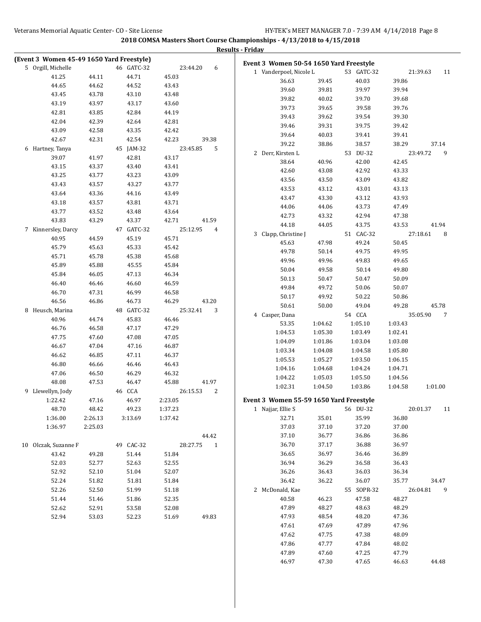|                                           |                |                |                    |                          | <b>Results - Friday</b>                                      |         |            |         |                |
|-------------------------------------------|----------------|----------------|--------------------|--------------------------|--------------------------------------------------------------|---------|------------|---------|----------------|
| (Event 3 Women 45-49 1650 Yard Freestyle) |                |                |                    |                          | Event 3 Women 50-54 1650 Yard Freestyle                      |         |            |         |                |
| 5 Orgill, Michelle                        |                | 46 GATC-32     |                    | 23:44.20<br>6            | 1 Vanderpoel, Nicole L                                       |         | 53 GATC-32 |         | 21:39.63<br>11 |
| 41.25                                     | 44.11          | 44.71          | 45.03              |                          | 36.63                                                        | 39.45   | 40.03      | 39.86   |                |
| 44.65                                     | 44.62          | 44.52          | 43.43              |                          | 39.60                                                        | 39.81   | 39.97      | 39.94   |                |
| 43.45                                     | 43.78          | 43.10          | 43.48              |                          | 39.82                                                        | 40.02   | 39.70      | 39.68   |                |
| 43.19                                     | 43.97          | 43.17          | 43.60              |                          | 39.73                                                        | 39.65   | 39.58      | 39.76   |                |
| 42.81                                     | 43.85          | 42.84          | 44.19              |                          | 39.43                                                        | 39.62   | 39.54      | 39.30   |                |
| 42.04                                     | 42.39          | 42.64          | 42.81              |                          | 39.46                                                        | 39.31   | 39.75      | 39.42   |                |
| 43.09                                     | 42.58          | 43.35          | 42.42              |                          | 39.64                                                        | 40.03   | 39.41      | 39.41   |                |
| 42.67                                     | 42.31          | 42.54          | 42.23              | 39.38                    | 39.22                                                        | 38.86   | 38.57      | 38.29   | 37.14          |
| 6 Hartney, Tanya                          |                | 45 JAM-32      | 23:45.85           | 5                        | 2 Derr, Kirsten L                                            |         | 53 DU-32   |         | 23:49.72<br>9  |
| 39.07                                     | 41.97          | 42.81          | 43.17              |                          | 38.64                                                        | 40.96   | 42.00      | 42.45   |                |
| 43.15                                     | 43.37          | 43.40          | 43.41              |                          | 42.60                                                        | 43.08   | 42.92      | 43.33   |                |
| 43.25                                     | 43.77          | 43.23          | 43.09              |                          | 43.56                                                        | 43.50   | 43.09      | 43.82   |                |
| 43.43                                     | 43.57          | 43.27          | 43.77              |                          | 43.53                                                        | 43.12   | 43.01      | 43.13   |                |
| 43.64                                     | 43.36          | 44.16          | 43.49              |                          | 43.47                                                        | 43.30   | 43.12      | 43.93   |                |
| 43.18                                     | 43.57          | 43.81          | 43.71              |                          | 44.06                                                        | 44.06   | 43.73      | 47.49   |                |
| 43.77                                     | 43.52          | 43.48          | 43.64              |                          | 42.73                                                        | 43.32   | 42.94      | 47.38   |                |
| 43.83                                     | 43.29          | 43.37          | 42.71              | 41.59                    | 44.18                                                        | 44.05   | 43.75      | 43.53   | 41.94          |
| 7 Kinnersley, Darcy                       |                | 47 GATC-32     |                    | 25:12.95<br>4            | 3 Clapp, Christine J                                         |         | 51 CAC-32  |         | 27:18.61<br>8  |
| 40.95                                     | 44.59          | 45.19          | 45.71              |                          | 45.63                                                        | 47.98   | 49.24      | 50.45   |                |
| 45.79                                     | 45.63          | 45.33          | 45.42              |                          | 49.78                                                        | 50.14   | 49.75      | 49.95   |                |
| 45.71                                     | 45.78          | 45.38          | 45.68              |                          | 49.96                                                        | 49.96   | 49.83      | 49.65   |                |
| 45.89                                     | 45.88          | 45.55          | 45.84              |                          | 50.04                                                        | 49.58   | 50.14      | 49.80   |                |
| 45.84                                     | 46.05          | 47.13          | 46.34              |                          | 50.13                                                        | 50.47   | 50.47      | 50.09   |                |
| 46.40                                     | 46.46          | 46.60          | 46.59              |                          | 49.84                                                        | 49.72   | 50.06      | 50.07   |                |
| 46.70                                     | 47.31          | 46.99          | 46.58              |                          | 50.17                                                        | 49.92   | 50.22      | 50.86   |                |
| 46.56                                     | 46.86          | 46.73          | 46.29              | 43.20                    | 50.61                                                        | 50.00   | 49.04      | 49.28   | 45.78          |
| 8 Heusch, Marina                          |                | 48 GATC-32     |                    | 25:32.41<br>3            | 4 Casper, Dana                                               |         | 54 CCA     |         | 35:05.90<br>7  |
| 40.96                                     | 44.74          | 45.83          | 46.46              |                          | 53.35                                                        | 1:04.62 | 1:05.10    | 1:03.43 |                |
| 46.76                                     | 46.58          | 47.17          | 47.29              |                          | 1:04.53                                                      | 1:05.30 | 1:03.49    | 1:02.41 |                |
| 47.75                                     | 47.60          | 47.08          | 47.05              |                          | 1:04.09                                                      | 1:01.86 | 1:03.04    | 1:03.08 |                |
| 46.67                                     | 47.04          | 47.16          | 46.87              |                          | 1:03.34                                                      | 1:04.08 | 1:04.58    | 1:05.80 |                |
| 46.62                                     | 46.85          | 47.11          | 46.37              |                          | 1:05.53                                                      | 1:05.27 | 1:03.50    | 1:06.15 |                |
| 46.80                                     | 46.66          | 46.46          | 46.43              |                          | 1:04.16                                                      | 1:04.68 | 1:04.24    | 1:04.71 |                |
| 47.06                                     | 46.50          | 46.29          | 46.32              |                          | 1:04.22                                                      | 1:05.03 | 1:05.50    | 1:04.56 |                |
| 48.08                                     | 47.53          | 46.47          | 45.88              | 41.97                    | 1:02.31                                                      | 1:04.50 | 1:03.86    | 1:04.58 | 1:01.00        |
| 9 Llewellyn, Jody                         |                | 46 CCA         |                    | 26:15.53<br>2            |                                                              |         |            |         |                |
| 1:22.42<br>48.70                          | 47.16<br>48.42 | 46.97<br>49.23 | 2:23.05<br>1:37.23 |                          | Event 3 Women 55-59 1650 Yard Freestyle<br>1 Najjar, Ellie S |         | 56 DU-32   |         | 20:01.37<br>11 |
| 1:36.00                                   | 2:26.13        | 3:13.69        | 1:37.42            |                          | 32.71                                                        | 35.01   | 35.99      | 36.80   |                |
| 1:36.97                                   | 2:25.03        |                |                    |                          | 37.03                                                        | 37.10   | 37.20      | 37.00   |                |
|                                           |                |                |                    | 44.42                    | 37.10                                                        | 36.77   | 36.86      | 36.86   |                |
| 10 Olczak, Suzanne F                      |                | 49 CAC-32      |                    | 28:27.75<br>$\mathbf{1}$ | 36.70                                                        | 37.17   | 36.88      | 36.97   |                |
| 43.42                                     | 49.28          | 51.44          | 51.84              |                          | 36.65                                                        | 36.97   | 36.46      | 36.89   |                |
| 52.03                                     | 52.77          | 52.63          | 52.55              |                          | 36.94                                                        | 36.29   | 36.58      | 36.43   |                |
| 52.92                                     | 52.10          | 51.04          | 52.07              |                          | 36.26                                                        | 36.43   | 36.03      | 36.34   |                |
| 52.24                                     | 51.82          | 51.81          | 51.84              |                          | 36.42                                                        | 36.22   | 36.07      | 35.77   | 34.47          |
| 52.26                                     | 52.50          | 51.99          | 51.18              |                          | 2 McDonald, Kae                                              |         | 55 SOPR-32 |         | 26:04.81<br>9  |
| 51.44                                     | 51.46          | 51.86          | 52.35              |                          | 40.58                                                        | 46.23   | 47.58      | 48.27   |                |
| 52.62                                     | 52.91          | 53.58          | 52.08              |                          | 47.89                                                        | 48.27   | 48.63      | 48.29   |                |
| 52.94                                     | 53.03          | 52.23          | 51.69              | 49.83                    | 47.93                                                        | 48.54   | 48.20      | 47.36   |                |
|                                           |                |                |                    |                          | 47.61                                                        | 47.69   | 47.89      | 47.96   |                |
|                                           |                |                |                    |                          | 47.62                                                        | 47.75   | 47.38      | 48.09   |                |
|                                           |                |                |                    |                          | 47.86                                                        | 47.77   | 47.84      | 48.02   |                |
|                                           |                |                |                    |                          | 47.89                                                        | 47.60   | 47.25      | 47.79   |                |
|                                           |                |                |                    |                          | 46.97                                                        | 47.30   | 47.65      | 46.63   | 44.48          |
|                                           |                |                |                    |                          |                                                              |         |            |         |                |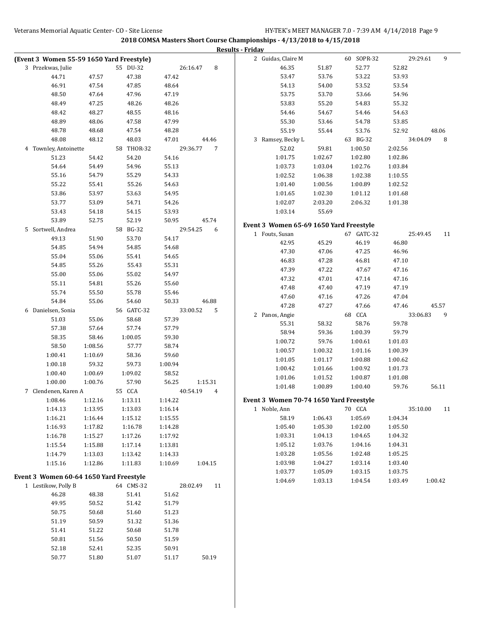|                                           |         |            |         |                | <b>Results - Friday</b>                 |         |            |         |                |
|-------------------------------------------|---------|------------|---------|----------------|-----------------------------------------|---------|------------|---------|----------------|
| (Event 3 Women 55-59 1650 Yard Freestyle) |         |            |         |                | 2 Guidas, Claire M                      |         | 60 SOPR-32 |         | 9<br>29:29.61  |
| 3 Przekwas, Julie                         |         | 55 DU-32   |         | 8<br>26:16.47  | 46.35                                   | 51.87   | 52.77      | 52.82   |                |
| 44.71                                     | 47.57   | 47.38      | 47.42   |                | 53.47                                   | 53.76   | 53.22      | 53.93   |                |
| 46.91                                     | 47.54   | 47.85      | 48.64   |                | 54.13                                   | 54.00   | 53.52      | 53.54   |                |
| 48.50                                     | 47.64   | 47.96      | 47.19   |                | 53.75                                   | 53.70   | 53.66      | 54.96   |                |
| 48.49                                     | 47.25   | 48.26      | 48.26   |                | 53.83                                   | 55.20   | 54.83      | 55.32   |                |
| 48.42                                     | 48.27   | 48.55      | 48.16   |                | 54.46                                   | 54.67   | 54.46      | 54.63   |                |
| 48.89                                     | 48.06   | 47.58      | 47.99   |                | 55.30                                   | 53.46   | 54.78      | 53.85   |                |
| 48.78                                     | 48.68   | 47.54      | 48.28   |                | 55.19                                   | 55.44   | 53.76      | 52.92   | 48.06          |
| 48.08                                     | 48.12   | 48.03      | 47.01   | 44.46          | 3 Ramsey, Becky L                       |         | 63 BG-32   |         | 34:04.09<br>8  |
| 4 Townley, Antoinette                     |         | 58 THOR-32 |         | 29:36.77<br>7  | 52.02                                   | 59.81   | 1:00.50    | 2:02.56 |                |
| 51.23                                     | 54.42   | 54.20      | 54.16   |                | 1:01.75                                 | 1:02.67 | 1:02.80    | 1:02.86 |                |
| 54.64                                     | 54.49   | 54.96      | 55.13   |                | 1:03.73                                 | 1:03.04 | 1:02.76    | 1:03.84 |                |
| 55.16                                     |         | 55.29      |         |                |                                         |         | 1:02.38    |         |                |
|                                           | 54.79   |            | 54.33   |                | 1:02.52                                 | 1:06.38 |            | 1:10.55 |                |
| 55.22                                     | 55.41   | 55.26      | 54.63   |                | 1:01.40                                 | 1:00.56 | 1:00.89    | 1:02.52 |                |
| 53.86                                     | 53.97   | 53.63      | 54.95   |                | 1:01.65                                 | 1:02.30 | 1:01.12    | 1:01.68 |                |
| 53.77                                     | 53.09   | 54.71      | 54.26   |                | 1:02.07                                 | 2:03.20 | 2:06.32    | 1:01.38 |                |
| 53.43                                     | 54.18   | 54.15      | 53.93   |                | 1:03.14                                 | 55.69   |            |         |                |
| 53.89                                     | 52.75   | 52.19      | 50.95   | 45.74          | Event 3 Women 65-69 1650 Yard Freestyle |         |            |         |                |
| 5 Sortwell, Andrea                        |         | 58 BG-32   |         | 29:54.25<br>6  | 1 Fouts, Susan                          |         | 67 GATC-32 |         | 25:49.45<br>11 |
| 49.13                                     | 51.90   | 53.70      | 54.17   |                | 42.95                                   | 45.29   | 46.19      | 46.80   |                |
| 54.85                                     | 54.94   | 54.85      | 54.68   |                | 47.30                                   | 47.06   | 47.25      | 46.96   |                |
| 55.04                                     | 55.06   | 55.41      | 54.65   |                | 46.83                                   | 47.28   | 46.81      | 47.10   |                |
| 54.85                                     | 55.26   | 55.43      | 55.31   |                | 47.39                                   | 47.22   | 47.67      | 47.16   |                |
| 55.00                                     | 55.06   | 55.02      | 54.97   |                | 47.32                                   |         |            |         |                |
| 55.11                                     | 54.81   | 55.26      | 55.60   |                |                                         | 47.01   | 47.14      | 47.16   |                |
| 55.74                                     | 55.50   | 55.78      | 55.46   |                | 47.48                                   | 47.40   | 47.19      | 47.19   |                |
| 54.84                                     | 55.06   | 54.60      | 50.33   | 46.88          | 47.60                                   | 47.16   | 47.26      | 47.04   |                |
| 6 Danielsen, Sonia                        |         | 56 GATC-32 |         | 33:00.52<br>5  | 47.28                                   | 47.27   | 47.66      | 47.46   | 45.57          |
| 51.03                                     | 55.06   | 58.68      | 57.39   |                | 2 Panos, Angie                          |         | 68 CCA     |         | 33:06.83<br>9  |
| 57.38                                     | 57.64   | 57.74      | 57.79   |                | 55.31                                   | 58.32   | 58.76      | 59.78   |                |
| 58.35                                     | 58.46   | 1:00.05    | 59.30   |                | 58.94                                   | 59.36   | 1:00.39    | 59.79   |                |
| 58.50                                     | 1:08.56 | 57.77      | 58.74   |                | 1:00.72                                 | 59.76   | 1:00.61    | 1:01.03 |                |
| 1:00.41                                   | 1:10.69 | 58.36      | 59.60   |                | 1:00.57                                 | 1:00.32 | 1:01.16    | 1:00.39 |                |
| 1:00.18                                   | 59.32   | 59.73      | 1:00.94 |                | 1:01.05                                 | 1:01.17 | 1:00.88    | 1:00.62 |                |
| 1:00.40                                   | 1:00.69 | 1:09.02    | 58.52   |                | 1:00.42                                 | 1:01.66 | 1:00.92    | 1:01.73 |                |
| 1:00.00                                   | 1:00.76 | 57.90      | 56.25   | 1:15.31        | 1:01.06                                 | 1:01.52 | 1:00.87    | 1:01.08 |                |
| 7 Clendenen, Karen A                      |         | 55 CCA     |         | 40:54.19<br>4  | 1:01.48                                 | 1:00.89 | 1:00.40    | 59.76   | 56.11          |
|                                           |         | 1:13.11    | 1:14.22 |                | Event 3 Women 70-74 1650 Yard Freestyle |         |            |         |                |
| 1:08.46                                   | 1:12.16 |            |         |                |                                         |         |            |         | 11             |
| 1:14.13                                   | 1:13.95 | 1:13.03    | 1:16.14 |                | 1 Noble, Ann                            |         | 70 CCA     |         | 35:10.00       |
| 1:16.21                                   | 1:16.44 | 1:15.12    | 1:15.55 |                | 58.19                                   | 1:06.43 | 1:05.69    | 1:04.34 |                |
| 1:16.93                                   | 1:17.82 | 1:16.78    | 1:14.28 |                | 1:05.40                                 | 1:05.30 | 1:02.00    | 1:05.50 |                |
| 1:16.78                                   | 1:15.27 | 1:17.26    | 1:17.92 |                | 1:03.31                                 | 1:04.13 | 1:04.65    | 1:04.32 |                |
| 1:15.54                                   | 1:15.88 | 1:17.14    | 1:13.81 |                | 1:05.12                                 | 1:03.76 | 1:04.16    | 1:04.31 |                |
| 1:14.79                                   | 1:13.03 | 1:13.42    | 1:14.33 |                | 1:03.28                                 | 1:05.56 | 1:02.48    | 1:05.25 |                |
| 1:15.16                                   | 1:12.86 | 1:11.83    | 1:10.69 | 1:04.15        | 1:03.98                                 | 1:04.27 | 1:03.14    | 1:03.40 |                |
| Event 3 Women 60-64 1650 Yard Freestyle   |         |            |         |                | 1:03.77                                 | 1:05.09 | 1:03.15    | 1:03.75 |                |
| 1 Lestikow, Polly B                       |         | 64 CMS-32  |         | 28:02.49<br>11 | 1:04.69                                 | 1:03.13 | 1:04.54    | 1:03.49 | 1:00.42        |
| 46.28                                     | 48.38   | 51.41      | 51.62   |                |                                         |         |            |         |                |
| 49.95                                     | 50.52   | 51.42      | 51.79   |                |                                         |         |            |         |                |
| 50.75                                     | 50.68   | 51.60      | 51.23   |                |                                         |         |            |         |                |
| 51.19                                     | 50.59   | 51.32      | 51.36   |                |                                         |         |            |         |                |
|                                           |         |            |         |                |                                         |         |            |         |                |
| 51.41                                     | 51.22   | 50.68      | 51.78   |                |                                         |         |            |         |                |
| 50.81                                     | 51.56   | 50.50      | 51.59   |                |                                         |         |            |         |                |
| 52.18                                     | 52.41   | 52.35      | 50.91   |                |                                         |         |            |         |                |
| 50.77                                     | 51.80   | 51.07      | 51.17   | 50.19          |                                         |         |            |         |                |
|                                           |         |            |         |                |                                         |         |            |         |                |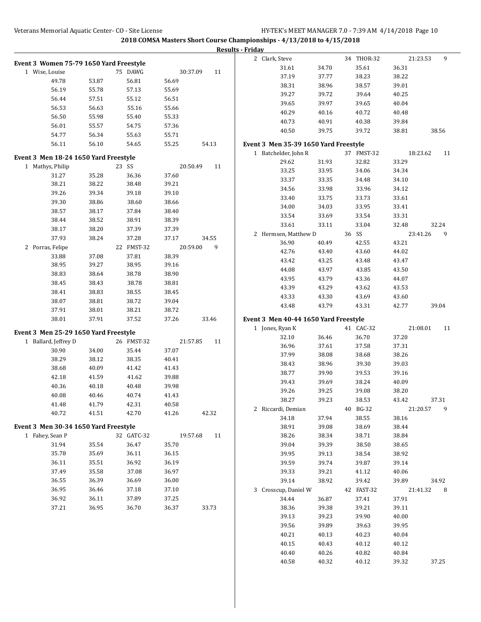|                                         |       |            |          |       | <b>Results - Friday</b>                                  |                |            |                |
|-----------------------------------------|-------|------------|----------|-------|----------------------------------------------------------|----------------|------------|----------------|
| Event 3 Women 75-79 1650 Yard Freestyle |       |            |          |       | 2 Clark, Steve                                           |                | 34 THOR-32 | 9<br>21:23.53  |
| 1 Wise, Louise                          |       | 75 DAWG    | 30:37.09 | 11    | 31.61                                                    | 34.70          | 35.61      | 36.31          |
| 49.78                                   | 53.87 | 56.81      | 56.69    |       | 37.19                                                    | 37.77          | 38.23      | 38.22          |
| 56.19                                   | 55.78 | 57.13      | 55.69    |       | 38.31                                                    | 38.96          | 38.57      | 39.01          |
| 56.44                                   | 57.51 | 55.12      | 56.51    |       | 39.27                                                    | 39.72          | 39.64      | 40.25          |
| 56.53                                   | 56.63 | 55.16      | 55.66    |       | 39.65                                                    | 39.97          | 39.65      | 40.04          |
| 56.50                                   | 55.98 | 55.40      | 55.33    |       | 40.29                                                    | 40.16          | 40.72      | 40.48          |
| 56.01                                   | 55.57 | 54.75      | 57.36    |       | 40.73                                                    | 40.91          | 40.38      | 39.84          |
| 54.77                                   | 56.34 | 55.63      | 55.71    |       | 40.50                                                    | 39.75          | 39.72      | 38.81<br>38.56 |
| 56.11                                   | 56.10 | 54.65      | 55.25    | 54.13 | Event 3 Men 35-39 1650 Yard Freestyle                    |                |            |                |
| Event 3 Men 18-24 1650 Yard Freestyle   |       |            |          |       | 1 Batchelder, John R                                     |                | 37 FMST-32 | 18:23.62<br>11 |
| 1 Mathys, Philip                        |       | 23 SS      | 20:50.49 | 11    | 29.62                                                    | 31.93          | 32.82      | 33.29          |
| 31.27                                   | 35.28 | 36.36      | 37.60    |       | 33.25                                                    | 33.95          | 34.06      | 34.34          |
| 38.21                                   | 38.22 | 38.48      | 39.21    |       | 33.37                                                    | 33.35          | 34.48      | 34.10          |
| 39.26                                   | 39.34 | 39.18      | 39.10    |       | 34.56                                                    | 33.98          | 33.96      | 34.12          |
| 39.30                                   | 38.86 | 38.60      | 38.66    |       | 33.40                                                    | 33.75          | 33.73      | 33.61          |
| 38.57                                   | 38.17 | 37.84      | 38.40    |       | 34.00                                                    | 34.03          | 33.95      | 33.41          |
| 38.44                                   | 38.52 | 38.91      | 38.39    |       | 33.54                                                    | 33.69          | 33.54      | 33.31          |
| 38.17                                   | 38.20 | 37.39      | 37.39    |       | 33.61                                                    | 33.11          | 33.04      | 32.24<br>32.48 |
| 37.93                                   | 38.24 | 37.28      | 37.17    | 34.55 | 2 Hermsen, Matthew D                                     |                | 36 SS      | 23:41.26<br>9  |
| 2 Porras, Felipe                        |       | 22 FMST-32 | 20:59.00 | 9     | 36.90                                                    | 40.49          | 42.55      | 43.21          |
| 33.88                                   | 37.08 | 37.81      | 38.39    |       | 42.76                                                    | 43.40          | 43.60      | 44.02          |
| 38.95                                   | 39.27 | 38.95      | 39.16    |       | 43.42                                                    | 43.25          | 43.48      | 43.47          |
| 38.83                                   | 38.64 | 38.78      | 38.90    |       | 44.08                                                    | 43.97          | 43.85      | 43.50          |
| 38.45                                   |       | 38.78      | 38.81    |       | 43.95                                                    | 43.79          | 43.36      | 44.07          |
|                                         | 38.43 |            |          |       | 43.39                                                    | 43.29          | 43.62      | 43.53          |
| 38.41                                   | 38.83 | 38.55      | 38.45    |       | 43.33                                                    | 43.30          | 43.69      | 43.60          |
| 38.07                                   | 38.81 | 38.72      | 39.04    |       | 43.48                                                    | 43.79          | 43.31      | 42.77<br>39.04 |
| 37.91                                   | 38.01 | 38.21      | 38.72    |       |                                                          |                |            |                |
| 38.01                                   | 37.91 | 37.52      | 37.26    | 33.46 | Event 3 Men 40-44 1650 Yard Freestyle<br>1 Jones, Ryan K |                | 41 CAC-32  | 21:08.01<br>11 |
| Event 3 Men 25-29 1650 Yard Freestyle   |       |            |          |       | 32.10                                                    | 36.46          | 36.70      | 37.20          |
| 1 Ballard, Jeffrey D                    |       | 26 FMST-32 | 21:57.85 | 11    | 36.96                                                    | 37.61          | 37.58      | 37.31          |
| 30.90                                   | 34.00 | 35.44      | 37.07    |       | 37.99                                                    | 38.08          | 38.68      | 38.26          |
| 38.29                                   | 38.12 | 38.35      | 40.41    |       | 38.43                                                    | 38.96          | 39.30      | 39.03          |
| 38.68                                   | 40.09 | 41.42      | 41.43    |       | 38.77                                                    | 39.90          | 39.53      | 39.16          |
| 42.18                                   | 41.59 | 41.62      | 39.88    |       | 39.43                                                    | 39.69          | 38.24      | 40.09          |
| 40.36                                   | 40.18 | 40.48      | 39.98    |       | 39.26                                                    | 39.25          | 39.08      | 38.20          |
| 40.08                                   | 40.46 | 40.74      | 41.43    |       | 38.27                                                    | 39.23          | $38.53\,$  | 43.42<br>37.31 |
| 41.48                                   | 41.79 | 42.31      | 40.58    |       | 2 Riccardi, Demian                                       |                | 40 BG-32   | 21:20.57<br>9  |
| 40.72                                   | 41.51 | 42.70      | 41.26    | 42.32 |                                                          |                | 38.55      |                |
| Event 3 Men 30-34 1650 Yard Freestyle   |       |            |          |       | 34.18<br>38.91                                           | 37.94<br>39.08 | 38.69      | 38.16<br>38.44 |
| 1 Fahev, Sean P                         |       | 32 GATC-32 | 19:57.68 | 11    | 38.26                                                    | 38.34          | 38.71      | 38.84          |
| 31.94                                   | 35.54 | 36.47      | 35.70    |       | 39.04                                                    | 39.39          | 38.50      | 38.65          |
| 35.78                                   | 35.69 | 36.11      | 36.15    |       | 39.95                                                    |                |            |                |
| 36.11                                   | 35.51 | 36.92      | 36.19    |       |                                                          | 39.13          | 38.54      | 38.92          |
| 37.49                                   |       |            | 36.97    |       | 39.59                                                    | 39.74          | 39.87      | 39.14          |
|                                         | 35.58 | 37.08      |          |       | 39.33                                                    | 39.21          | 41.12      | 40.06          |
| 36.55                                   | 36.39 | 36.69      | 36.00    |       | 39.14                                                    | 38.92          | 39.42      | 34.92<br>39.89 |
| 36.95                                   | 36.46 | 37.18      | 37.10    |       | 3 Crosscup, Daniel W                                     |                | 42 FAST-32 | 21:41.32<br>8  |
| 36.92                                   | 36.11 | 37.89      | 37.25    |       | 34.44                                                    | 36.87          | 37.41      | 37.91          |
| 37.21                                   | 36.95 | 36.70      | 36.37    | 33.73 | 38.36                                                    | 39.38          | 39.21      | 39.11          |
|                                         |       |            |          |       | 39.13                                                    | 39.23          | 39.90      | 40.00          |
|                                         |       |            |          |       | 39.56                                                    | 39.89          | 39.63      | 39.95          |
|                                         |       |            |          |       | 40.21                                                    | 40.13          | 40.23      | 40.04          |
|                                         |       |            |          |       | 40.15                                                    | 40.43          | 40.12      | 40.12          |
|                                         |       |            |          |       | 40.40                                                    | 40.26          | 40.82      | 40.84          |
|                                         |       |            |          |       | 40.58                                                    | 40.32          | 40.12      | 39.32<br>37.25 |
|                                         |       |            |          |       |                                                          |                |            |                |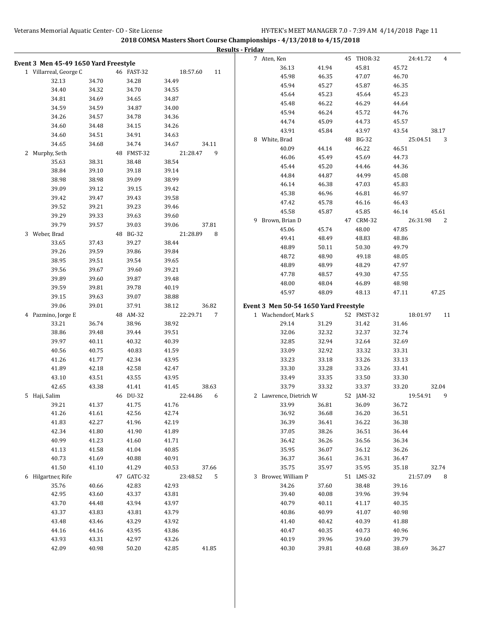|                                       |                |                |                             | <b>Results - Friday</b>               |                                  |                            |
|---------------------------------------|----------------|----------------|-----------------------------|---------------------------------------|----------------------------------|----------------------------|
| Event 3 Men 45-49 1650 Yard Freestyle |                |                |                             | 7 Aten, Ken                           | 45 THOR-32                       | 24:41.72<br>4              |
| 1 Villarreal, George C                |                | 46 FAST-32     | 18:57.60<br>11              | 36.13                                 | 41.94<br>45.81                   | 45.72                      |
| 32.13                                 | 34.70          | 34.28          | 34.49                       | 45.98                                 | 47.07<br>46.35                   | 46.70                      |
| 34.40                                 | 34.32          | 34.70          | 34.55                       | 45.94                                 | 45.27<br>45.87                   | 46.35                      |
| 34.81                                 | 34.69          | 34.65          | 34.87                       | 45.64                                 | 45.23<br>45.64                   | 45.23                      |
| 34.59                                 | 34.59          | 34.87          | 34.00                       | 45.48                                 | 46.22<br>46.29                   | 44.64                      |
| 34.26                                 | 34.57          | 34.78          | 34.36                       | 45.94                                 | 46.24<br>45.72                   | 44.76                      |
| 34.60                                 | 34.48          | 34.15          | 34.26                       | 44.74                                 | 45.09<br>44.73                   | 45.57                      |
| 34.60                                 | 34.51          | 34.91          | 34.63                       | 43.91                                 | 45.84<br>43.97                   | 43.54<br>38.17             |
| 34.65                                 | 34.68          | 34.74          | 34.67<br>34.11              | 8 White, Brad                         | 48 BG-32                         | 25:04.51<br>3              |
| 2 Murphy, Seth                        |                | 48 FMST-32     | 9<br>21:28.47               | 40.09<br>46.06                        | 44.14<br>46.22<br>45.69<br>45.49 | 46.51<br>44.73             |
| 35.63                                 | 38.31          | 38.48          | 38.54                       | 45.44                                 | 45.20<br>44.46                   | 44.36                      |
| 38.84                                 | 39.10          | 39.18          | 39.14                       | 44.84                                 | 44.87<br>44.99                   | 45.08                      |
| 38.98                                 | 38.98          | 39.09          | 38.99                       | 46.14                                 | 46.38<br>47.03                   | 45.83                      |
| 39.09                                 | 39.12          | 39.15          | 39.42                       | 45.38                                 | 46.96<br>46.81                   | 46.97                      |
| 39.42                                 | 39.47          | 39.43          | 39.58                       | 47.42                                 | 45.78<br>46.16                   | 46.43                      |
| 39.52                                 | 39.21          | 39.23          | 39.46                       | 45.58                                 | 45.87<br>45.85                   | 45.61<br>46.14             |
| 39.29                                 | 39.33          | 39.63          | 39.60                       | 9 Brown, Brian D                      | 47 CRM-32                        | 26:31.98<br>$\overline{c}$ |
| 39.79                                 | 39.57          | 39.03          | 37.81<br>39.06              | 45.06                                 | 45.74<br>48.00                   | 47.85                      |
| 3 Weber, Brad                         |                | 48 BG-32       | 21:28.89<br>8               | 49.41                                 | 48.83<br>48.49                   | 48.86                      |
| 33.65                                 | 37.43          | 39.27          | 38.44                       | 48.89                                 | 50.11<br>50.30                   | 49.79                      |
| 39.26                                 | 39.59          | 39.86          | 39.84                       | 48.72                                 | 48.90<br>49.18                   | 48.05                      |
| 38.95                                 | 39.51          | 39.54          | 39.65                       | 48.89                                 | 48.99<br>48.29                   | 47.97                      |
| 39.56                                 | 39.67          | 39.60          | 39.21                       | 47.78                                 | 48.57<br>49.30                   | 47.55                      |
| 39.89                                 | 39.60          | 39.87          | 39.48                       | 48.00                                 | 48.04<br>46.89                   | 48.98                      |
| 39.59                                 | 39.81          | 39.78          | 40.19                       | 45.97                                 | 48.09<br>48.13                   | 47.11<br>47.25             |
| 39.15                                 | 39.63          | 39.07          | 38.88                       |                                       |                                  |                            |
| 39.06                                 | 39.01          | 37.91          | 38.12<br>36.82              | Event 3 Men 50-54 1650 Yard Freestyle |                                  |                            |
| 4 Pazmino, Jorge E                    |                | 48 AM-32       | 22:29.71<br>$7\phantom{.0}$ | 1 Wachendorf, Mark S                  | 52 FMST-32                       | 18:01.97<br>11             |
| 33.21                                 | 36.74          | 38.96          | 38.92                       | 29.14                                 | 31.29<br>31.42                   | 31.46                      |
| 38.86<br>39.97                        | 39.48<br>40.11 | 39.44<br>40.32 | 39.51<br>40.39              | 32.06<br>32.85                        | 32.32<br>32.37<br>32.94          | 32.74<br>32.69             |
| 40.56                                 | 40.75          | 40.83          | 41.59                       | 33.09                                 | 32.64<br>32.92<br>33.32          | 33.31                      |
| 41.26                                 | 41.77          | 42.34          | 43.95                       | 33.23                                 | 33.18<br>33.26                   | 33.13                      |
| 41.89                                 | 42.18          | 42.58          | 42.47                       | 33.30                                 | 33.28<br>33.26                   | 33.41                      |
| 43.10                                 | 43.51          | 43.55          | 43.95                       | 33.49                                 | 33.35<br>33.50                   | 33.30                      |
| 42.65                                 | 43.38          | 41.41          | 41.45<br>38.63              | 33.79                                 | 33.32<br>33.37                   | 33.20<br>32.04             |
| 5 Haji, Salim                         |                | 46 DU-32       | 22:44.86<br>6               | 2 Lawrence, Dietrich W                | 52 JAM-32                        | 19:54.91<br>9              |
| 39.21                                 | 41.37          | 41.75          | 41.76                       | 33.99                                 | 36.81<br>36.09                   | 36.72                      |
| 41.26                                 | 41.61          | 42.56          | 42.74                       | 36.92                                 | 36.68<br>36.20                   | 36.51                      |
| 41.83                                 | 42.27          | 41.96          | 42.19                       | 36.39                                 | 36.41<br>36.22                   | 36.38                      |
| 42.34                                 | 41.80          | 41.90          | 41.89                       | 37.05                                 | 38.26<br>36.51                   | 36.44                      |
| 40.99                                 | 41.23          | 41.60          | 41.71                       | 36.42                                 | 36.26<br>36.56                   | 36.34                      |
| 41.13                                 | 41.58          | 41.04          | 40.85                       | 35.95                                 | 36.07<br>36.12                   | 36.26                      |
| 40.73                                 | 41.69          | 40.88          | 40.91                       | 36.37                                 | 36.31<br>36.61                   | 36.47                      |
| 41.50                                 | 41.10          | 41.29          | 40.53<br>37.66              | 35.75                                 | 35.97<br>35.95                   | 35.18<br>32.74             |
| 6 Hilgartner, Rife                    |                | 47 GATC-32     | 23:48.52<br>5               | 3 Brower, William P                   | 51 LMS-32                        | 21:57.09<br>8              |
| 35.76                                 | 40.66          | 42.83          | 42.93                       | 34.26                                 | 37.60<br>38.48                   | 39.16                      |
| 42.95                                 | 43.60          | 43.37          | 43.81                       | 39.40                                 | 40.08<br>39.96                   | 39.94                      |
| 43.70                                 | 44.48          | 43.94          | 43.97                       | 40.79                                 | 40.11<br>41.17                   | 40.35                      |
| 43.37                                 | 43.83          | 43.81          | 43.79                       | 40.86                                 | 40.99<br>41.07                   | 40.98                      |
| 43.48                                 | 43.46          | 43.29          | 43.92                       | 41.40                                 | 40.39<br>40.42                   | 41.88                      |
| 44.16                                 | 44.16          | 43.95          | 43.86                       | 40.47                                 | 40.35<br>40.73                   | 40.96                      |
| 43.93                                 | 43.31          | 42.97          | 43.26                       | 40.19                                 | 39.96<br>39.60                   | 39.79                      |
| 42.09                                 | 40.98          | 50.20          | 42.85<br>41.85              | 40.30                                 | 39.81<br>40.68                   | 38.69<br>36.27             |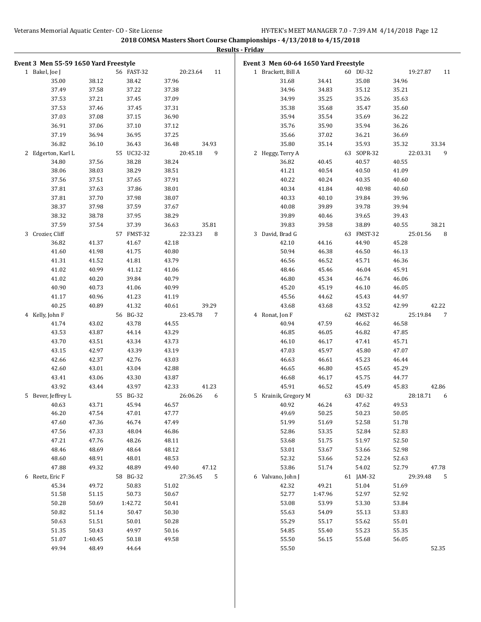|                                       |         |            |                            | Results - Friday                      |         |            |                |
|---------------------------------------|---------|------------|----------------------------|---------------------------------------|---------|------------|----------------|
| Event 3 Men 55-59 1650 Yard Freestyle |         |            |                            | Event 3 Men 60-64 1650 Yard Freestyle |         |            |                |
| 1 Bakel, Joe J                        |         | 56 FAST-32 | 20:23.64<br>11             | 1 Brackett, Bill A                    |         | 60 DU-32   | 19:27.87<br>11 |
| 35.00                                 | 38.12   | 38.42      | 37.96                      | 31.68                                 | 34.41   | 35.08      | 34.96          |
| 37.49                                 | 37.58   | 37.22      | 37.38                      | 34.96                                 | 34.83   | 35.12      | 35.21          |
| 37.53                                 | 37.21   | 37.45      | 37.09                      | 34.99                                 | 35.25   | 35.26      | 35.63          |
| 37.53                                 | 37.46   | 37.45      | 37.31                      | 35.38                                 | 35.68   | 35.47      | 35.60          |
| 37.03                                 | 37.08   | 37.15      | 36.90                      | 35.94                                 | 35.54   | 35.69      | 36.22          |
| 36.91                                 | 37.06   | 37.10      | 37.12                      | 35.76                                 | 35.90   | 35.94      | 36.26          |
| 37.19                                 | 36.94   | 36.95      | 37.25                      | 35.66                                 | 37.02   | 36.21      | 36.69          |
| 36.82                                 | 36.10   | 36.43      | 36.48<br>34.93             | 35.80                                 | 35.14   | 35.93      | 35.32<br>33.34 |
| 2 Edgerton, Karl L                    |         | 55 UC32-32 | 20:45.18<br>9              | 2 Heggy, Terry A                      |         | 63 SOPR-32 | 22:03.31<br>9  |
| 34.80                                 | 37.56   | 38.28      | 38.24                      | 36.82                                 | 40.45   | 40.57      | 40.55          |
| 38.06                                 | 38.03   | 38.29      | 38.51                      | 41.21                                 | 40.54   | 40.50      | 41.09          |
| 37.56                                 | 37.51   | 37.65      | 37.91                      | 40.22                                 | 40.24   | 40.35      | 40.60          |
| 37.81                                 | 37.63   | 37.86      | 38.01                      | 40.34                                 | 41.84   | 40.98      | 40.60          |
| 37.81                                 | 37.70   | 37.98      | 38.07                      | 40.33                                 | 40.10   | 39.84      | 39.96          |
| 38.37                                 | 37.98   | 37.59      | 37.67                      | 40.08                                 | 39.89   | 39.78      | 39.94          |
| 38.32                                 | 38.78   | 37.95      | 38.29                      | 39.89                                 | 40.46   | 39.65      | 39.43          |
| 37.59                                 | 37.54   | 37.39      | 35.81<br>36.63             | 39.83                                 | 39.58   | 38.89      | 38.21<br>40.55 |
| 3 Crozier, Cliff                      |         | 57 FMST-32 | 22:33.23<br>8              | 3 David, Brad G                       |         | 63 FMST-32 | 25:01.56<br>8  |
| 36.82                                 | 41.37   | 41.67      | 42.18                      | 42.10                                 | 44.16   | 44.90      | 45.28          |
| 41.60                                 | 41.98   | 41.75      | 40.80                      | 50.94                                 | 46.38   | 46.50      | 46.13          |
| 41.31                                 | 41.52   | 41.81      | 43.79                      | 46.56                                 | 46.52   | 45.71      | 46.36          |
| 41.02                                 | 40.99   | 41.12      | 41.06                      | 48.46                                 | 45.46   | 46.04      | 45.91          |
| 41.02                                 | 40.20   | 39.84      | 40.79                      | 46.80                                 | 45.34   | 46.74      | 46.06          |
| 40.90                                 | 40.73   | 41.06      | 40.99                      | 45.20                                 | 45.19   | 46.10      | 46.05          |
| 41.17                                 | 40.96   | 41.23      | 41.19                      | 45.56                                 | 44.62   | 45.43      | 44.97          |
| 40.25                                 | 40.89   | 41.32      | 40.61<br>39.29             | 43.68                                 | 43.68   | 43.52      | 42.99<br>42.22 |
| 4 Kelly, John F                       |         | 56 BG-32   | 23:45.78<br>$\overline{7}$ | 4 Ronat, Jon F                        |         | 62 FMST-32 | 25:19.84<br>7  |
| 41.74                                 | 43.02   | 43.78      | 44.55                      | 40.94                                 | 47.59   | 46.62      | 46.58          |
| 43.53                                 | 43.87   | 44.14      | 43.29                      | 46.85                                 | 46.05   | 46.82      | 47.85          |
| 43.70                                 | 43.51   | 43.34      | 43.73                      | 46.10                                 | 46.17   | 47.41      | 45.71          |
| 43.15                                 | 42.97   | 43.39      | 43.19                      | 47.03                                 | 45.97   | 45.80      | 47.07          |
| 42.66                                 | 42.37   | 42.76      | 43.03                      | 46.63                                 | 46.61   | 45.23      | 46.44          |
| 42.60                                 | 43.01   | 43.04      | 42.88                      | 46.65                                 | 46.80   | 45.65      | 45.29          |
| 43.41                                 | 43.06   | 43.30      | 43.87                      | 46.68                                 | 46.17   | 45.75      | 44.77          |
| 43.92                                 | 43.44   | 43.97      | 42.33<br>41.23             | 45.91                                 | 46.52   | 45.49      | 45.83<br>42.86 |
| 5 Bever, Jeffrey L                    |         | 55 BG-32   | 26:06.26 6                 | 5 Krainik, Gregory M                  |         | 63 DU-32   | 28:18.71 6     |
| 40.63                                 | 43.71   | 45.94      | 46.57                      | 40.92                                 | 46.24   | 47.62      | 49.53          |
| 46.20                                 | 47.54   | 47.01      | 47.77                      | 49.69                                 | 50.25   | 50.23      | 50.05          |
| 47.60                                 | 47.36   | 46.74      | 47.49                      | 51.99                                 | 51.69   | 52.58      | 51.78          |
| 47.56                                 | 47.33   | 48.04      | 46.86                      | 52.86                                 | 53.35   | 52.84      | 52.83          |
| 47.21                                 | 47.76   | 48.26      | 48.11                      | 53.68                                 | 51.75   | 51.97      | 52.50          |
| 48.46                                 | 48.69   | 48.64      | 48.12                      | 53.01                                 | 53.67   | 53.66      | 52.98          |
| 48.60                                 | 48.91   | 48.01      | 48.53                      | 52.32                                 | 53.66   | 52.24      | 52.63          |
| 47.88                                 | 49.32   | 48.89      | 49.40<br>47.12             | 53.86                                 | 51.74   | 54.02      | 52.79<br>47.78 |
| 6 Reetz, Eric F                       |         | 58 BG-32   | 27:36.45 5                 | 6 Valvano, John J                     |         | 61 JAM-32  | 29:39.48<br>5  |
| 45.34                                 | 49.72   | 50.83      | 51.02                      | 42.32                                 | 49.21   | 51.04      | 51.69          |
| 51.58                                 | 51.15   | 50.73      | 50.67                      | 52.77                                 | 1:47.96 | 52.97      | 52.92          |
| 50.28                                 | 50.69   | 1:42.72    | 50.41                      | 53.08                                 | 53.99   | 53.30      | 53.84          |
| 50.82                                 | 51.14   | 50.47      | 50.30                      | 55.63                                 | 54.09   | 55.13      | 53.83          |
| 50.63                                 | 51.51   | 50.01      | 50.28                      | 55.29                                 | 55.17   | 55.62      | 55.01          |
| 51.35                                 | 50.43   | 49.97      | 50.16                      | 54.85                                 | 55.40   | 55.23      | 55.35          |
| 51.07                                 | 1:40.45 | 50.18      | 49.58                      | 55.50                                 | 56.15   | 55.68      | 56.05          |
| 49.94                                 | 48.49   | 44.64      |                            | 55.50                                 |         |            | 52.35          |
|                                       |         |            |                            |                                       |         |            |                |